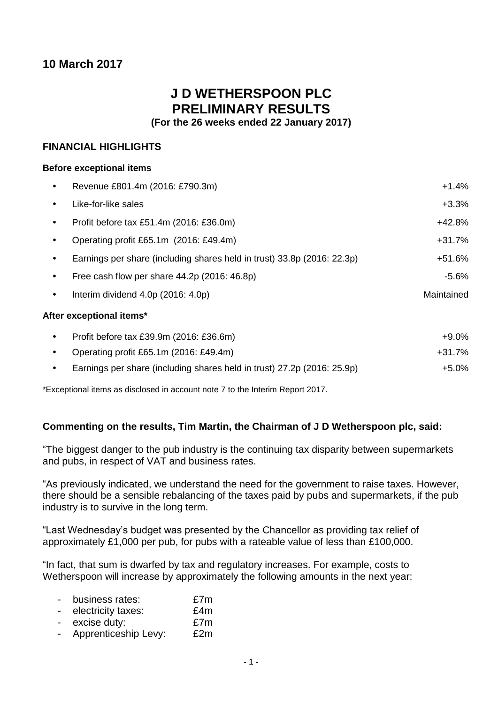## **10 March 2017**

## **J D WETHERSPOON PLC PRELIMINARY RESULTS (For the 26 weeks ended 22 January 2017)**

## **FINANCIAL HIGHLIGHTS**

## **Before exceptional items**

|           | After exceptional items*                                                |            |
|-----------|-------------------------------------------------------------------------|------------|
| $\bullet$ | Interim dividend 4.0p (2016: 4.0p)                                      | Maintained |
| $\bullet$ | Free cash flow per share $44.2p$ (2016: $46.8p$ )                       | $-5.6%$    |
| $\bullet$ | Earnings per share (including shares held in trust) 33.8p (2016: 22.3p) | $+51.6%$   |
| $\bullet$ | Operating profit £65.1m (2016: £49.4m)                                  | $+31.7%$   |
| $\bullet$ | Profit before tax £51.4m (2016: £36.0m)                                 | $+42.8%$   |
| $\bullet$ | Like-for-like sales                                                     | $+3.3%$    |
| $\bullet$ | Revenue £801.4m (2016: £790.3m)                                         | $+1.4%$    |

| Profit before tax £39.9m (2016: £36.6m)                                 | $+9.0\%$ |
|-------------------------------------------------------------------------|----------|
| Operating profit £65.1m (2016: £49.4m)                                  | $+31.7%$ |
| Earnings per share (including shares held in trust) 27.2p (2016: 25.9p) | $+5.0%$  |

\*Exceptional items as disclosed in account note 7 to the Interim Report 2017.

## **Commenting on the results, Tim Martin, the Chairman of J D Wetherspoon plc, said:**

"The biggest danger to the pub industry is the continuing tax disparity between supermarkets and pubs, in respect of VAT and business rates.

"As previously indicated, we understand the need for the government to raise taxes. However, there should be a sensible rebalancing of the taxes paid by pubs and supermarkets, if the pub industry is to survive in the long term.

"Last Wednesday's budget was presented by the Chancellor as providing tax relief of approximately £1,000 per pub, for pubs with a rateable value of less than £100,000.

"In fact, that sum is dwarfed by tax and regulatory increases. For example, costs to Wetherspoon will increase by approximately the following amounts in the next year:

| business rates: | £7m |
|-----------------|-----|
|                 |     |

- electricity taxes: £4m
- excise duty: £7m
- Apprenticeship Levy: £2m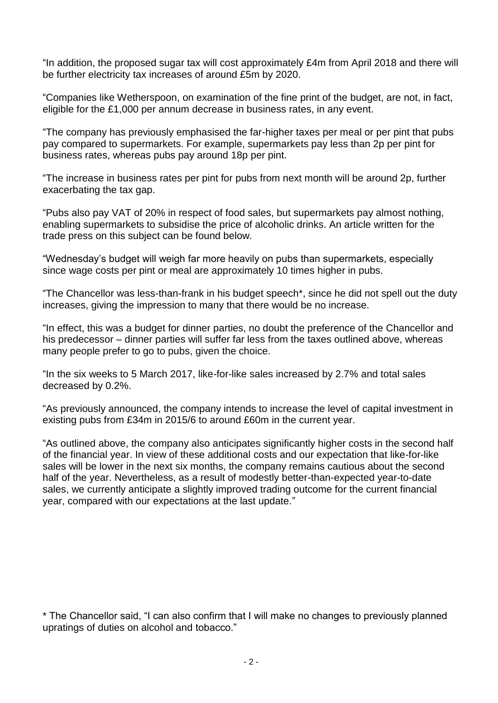"In addition, the proposed sugar tax will cost approximately £4m from April 2018 and there will be further electricity tax increases of around £5m by 2020.

"Companies like Wetherspoon, on examination of the fine print of the budget, are not, in fact, eligible for the £1,000 per annum decrease in business rates, in any event.

"The company has previously emphasised the far-higher taxes per meal or per pint that pubs pay compared to supermarkets. For example, supermarkets pay less than 2p per pint for business rates, whereas pubs pay around 18p per pint.

"The increase in business rates per pint for pubs from next month will be around 2p, further exacerbating the tax gap.

"Pubs also pay VAT of 20% in respect of food sales, but supermarkets pay almost nothing, enabling supermarkets to subsidise the price of alcoholic drinks. An article written for the trade press on this subject can be found below.

"Wednesday's budget will weigh far more heavily on pubs than supermarkets, especially since wage costs per pint or meal are approximately 10 times higher in pubs.

"The Chancellor was less-than-frank in his budget speech\*, since he did not spell out the duty increases, giving the impression to many that there would be no increase.

"In effect, this was a budget for dinner parties, no doubt the preference of the Chancellor and his predecessor – dinner parties will suffer far less from the taxes outlined above, whereas many people prefer to go to pubs, given the choice.

"In the six weeks to 5 March 2017, like-for-like sales increased by 2.7% and total sales decreased by 0.2%.

"As previously announced, the company intends to increase the level of capital investment in existing pubs from £34m in 2015/6 to around £60m in the current year.

"As outlined above, the company also anticipates significantly higher costs in the second half of the financial year. In view of these additional costs and our expectation that like-for-like sales will be lower in the next six months, the company remains cautious about the second half of the year. Nevertheless, as a result of modestly better-than-expected year-to-date sales, we currently anticipate a slightly improved trading outcome for the current financial year, compared with our expectations at the last update."

<sup>\*</sup> The Chancellor said, "I can also confirm that I will make no changes to previously planned upratings of duties on alcohol and tobacco."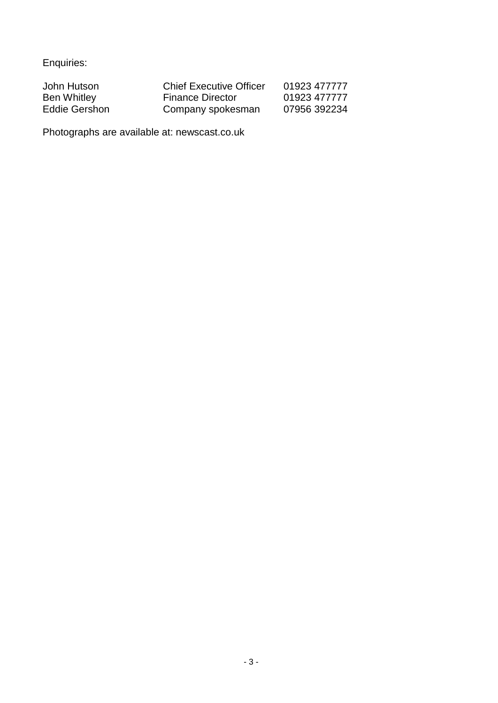Enquiries:

| John Hutson   | <b>Chief Executive Officer</b> | 01923 477777 |
|---------------|--------------------------------|--------------|
| Ben Whitley   | <b>Finance Director</b>        | 01923 477777 |
| Eddie Gershon | Company spokesman              | 07956 392234 |

Photographs are available at: newscast.co.uk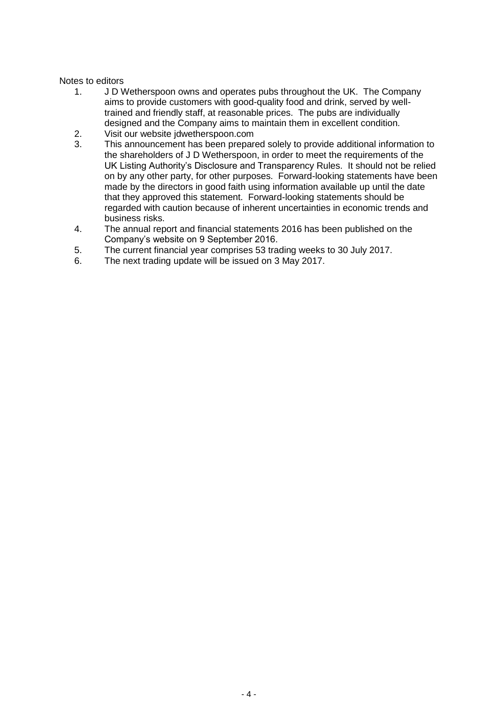## Notes to editors

- 1. J D Wetherspoon owns and operates pubs throughout the UK. The Company aims to provide customers with good-quality food and drink, served by welltrained and friendly staff, at reasonable prices. The pubs are individually designed and the Company aims to maintain them in excellent condition.
- 2. Visit our website jdwetherspoon.com
- 3. This announcement has been prepared solely to provide additional information to the shareholders of J D Wetherspoon, in order to meet the requirements of the UK Listing Authority's Disclosure and Transparency Rules. It should not be relied on by any other party, for other purposes. Forward-looking statements have been made by the directors in good faith using information available up until the date that they approved this statement. Forward-looking statements should be regarded with caution because of inherent uncertainties in economic trends and business risks.
- 4. The annual report and financial statements 2016 has been published on the Company's website on 9 September 2016.
- 5. The current financial year comprises 53 trading weeks to 30 July 2017.
- 6. The next trading update will be issued on 3 May 2017.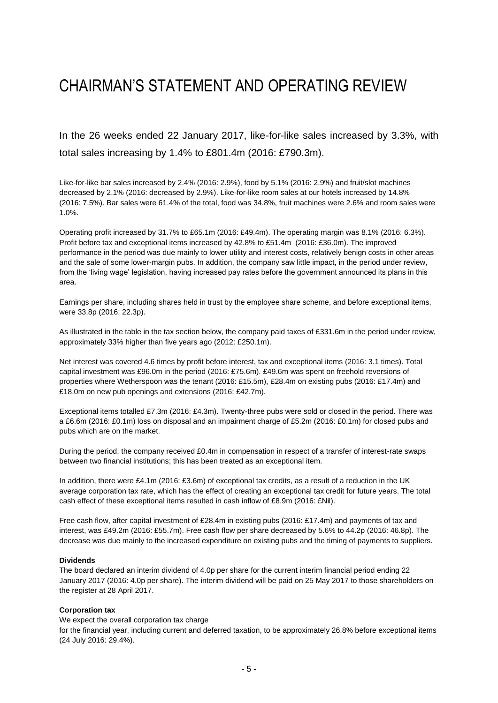# CHAIRMAN'S STATEMENT AND OPERATING REVIEW

In the 26 weeks ended 22 January 2017, like-for-like sales increased by 3.3%, with total sales increasing by 1.4% to £801.4m (2016: £790.3m).

Like-for-like bar sales increased by 2.4% (2016: 2.9%), food by 5.1% (2016: 2.9%) and fruit/slot machines decreased by 2.1% (2016: decreased by 2.9%). Like-for-like room sales at our hotels increased by 14.8% (2016: 7.5%). Bar sales were 61.4% of the total, food was 34.8%, fruit machines were 2.6% and room sales were 1.0%.

Operating profit increased by 31.7% to £65.1m (2016: £49.4m). The operating margin was 8.1% (2016: 6.3%). Profit before tax and exceptional items increased by 42.8% to £51.4m (2016: £36.0m). The improved performance in the period was due mainly to lower utility and interest costs, relatively benign costs in other areas and the sale of some lower-margin pubs. In addition, the company saw little impact, in the period under review, from the 'living wage' legislation, having increased pay rates before the government announced its plans in this area.

Earnings per share, including shares held in trust by the employee share scheme, and before exceptional items, were 33.8p (2016: 22.3p).

As illustrated in the table in the tax section below, the company paid taxes of £331.6m in the period under review, approximately 33% higher than five years ago (2012: £250.1m).

Net interest was covered 4.6 times by profit before interest, tax and exceptional items (2016: 3.1 times). Total capital investment was £96.0m in the period (2016: £75.6m). £49.6m was spent on freehold reversions of properties where Wetherspoon was the tenant (2016: £15.5m), £28.4m on existing pubs (2016: £17.4m) and £18.0m on new pub openings and extensions (2016: £42.7m).

Exceptional items totalled £7.3m (2016: £4.3m). Twenty-three pubs were sold or closed in the period. There was a £6.6m (2016: £0.1m) loss on disposal and an impairment charge of £5.2m (2016: £0.1m) for closed pubs and pubs which are on the market.

During the period, the company received £0.4m in compensation in respect of a transfer of interest-rate swaps between two financial institutions; this has been treated as an exceptional item.

In addition, there were £4.1m (2016: £3.6m) of exceptional tax credits, as a result of a reduction in the UK average corporation tax rate, which has the effect of creating an exceptional tax credit for future years. The total cash effect of these exceptional items resulted in cash inflow of £8.9m (2016: £Nil).

Free cash flow, after capital investment of £28.4m in existing pubs (2016: £17.4m) and payments of tax and interest, was £49.2m (2016: £55.7m). Free cash flow per share decreased by 5.6% to 44.2p (2016: 46.8p). The decrease was due mainly to the increased expenditure on existing pubs and the timing of payments to suppliers.

#### **Dividends**

The board declared an interim dividend of 4.0p per share for the current interim financial period ending 22 January 2017 (2016: 4.0p per share). The interim dividend will be paid on 25 May 2017 to those shareholders on the register at 28 April 2017.

#### **Corporation tax**

We expect the overall corporation tax charge

for the financial year, including current and deferred taxation, to be approximately 26.8% before exceptional items (24 July 2016: 29.4%).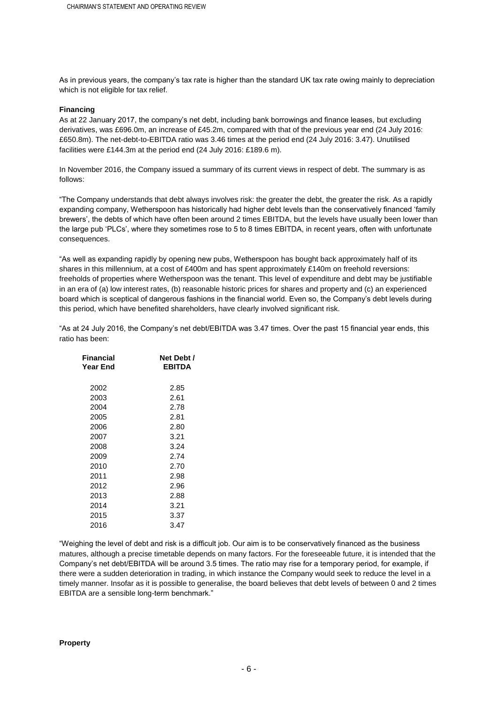As in previous years, the company's tax rate is higher than the standard UK tax rate owing mainly to depreciation which is not eligible for tax relief.

#### **Financing**

As at 22 January 2017, the company's net debt, including bank borrowings and finance leases, but excluding derivatives, was £696.0m, an increase of £45.2m, compared with that of the previous year end (24 July 2016: £650.8m). The net-debt-to-EBITDA ratio was 3.46 times at the period end (24 July 2016: 3.47). Unutilised facilities were £144.3m at the period end (24 July 2016: £189.6 m).

In November 2016, the Company issued a summary of its current views in respect of debt. The summary is as follows:

"The Company understands that debt always involves risk: the greater the debt, the greater the risk. As a rapidly expanding company, Wetherspoon has historically had higher debt levels than the conservatively financed 'family brewers', the debts of which have often been around 2 times EBITDA, but the levels have usually been lower than the large pub 'PLCs', where they sometimes rose to 5 to 8 times EBITDA, in recent years, often with unfortunate consequences.

"As well as expanding rapidly by opening new pubs, Wetherspoon has bought back approximately half of its shares in this millennium, at a cost of £400m and has spent approximately £140m on freehold reversions: freeholds of properties where Wetherspoon was the tenant. This level of expenditure and debt may be justifiable in an era of (a) low interest rates, (b) reasonable historic prices for shares and property and (c) an experienced board which is sceptical of dangerous fashions in the financial world. Even so, the Company's debt levels during this period, which have benefited shareholders, have clearly involved significant risk.

"As at 24 July 2016, the Company's net debt/EBITDA was 3.47 times. Over the past 15 financial year ends, this ratio has been:

| Financial<br>Year End | Net Debt /<br>EBITDA |  |  |  |  |
|-----------------------|----------------------|--|--|--|--|
| 2002                  | 2.85                 |  |  |  |  |
| 2003                  | 2.61                 |  |  |  |  |
| 2004                  | 2.78                 |  |  |  |  |
| 2005                  | 2.81                 |  |  |  |  |
| 2006                  | 2.80                 |  |  |  |  |
| 2007                  | 3.21                 |  |  |  |  |
| 2008                  | 3.24                 |  |  |  |  |
| 2009                  | 2.74                 |  |  |  |  |
| 2010                  | 2.70                 |  |  |  |  |
| 2011                  | 2.98                 |  |  |  |  |
| 2012                  | 2.96                 |  |  |  |  |
| 2013                  | 2.88                 |  |  |  |  |
| 2014                  | 3.21                 |  |  |  |  |
| 2015                  | 3.37                 |  |  |  |  |
| 2016                  | 3.47                 |  |  |  |  |
|                       |                      |  |  |  |  |

"Weighing the level of debt and risk is a difficult job. Our aim is to be conservatively financed as the business matures, although a precise timetable depends on many factors. For the foreseeable future, it is intended that the Company's net debt/EBITDA will be around 3.5 times. The ratio may rise for a temporary period, for example, if there were a sudden deterioration in trading, in which instance the Company would seek to reduce the level in a timely manner. Insofar as it is possible to generalise, the board believes that debt levels of between 0 and 2 times EBITDA are a sensible long-term benchmark."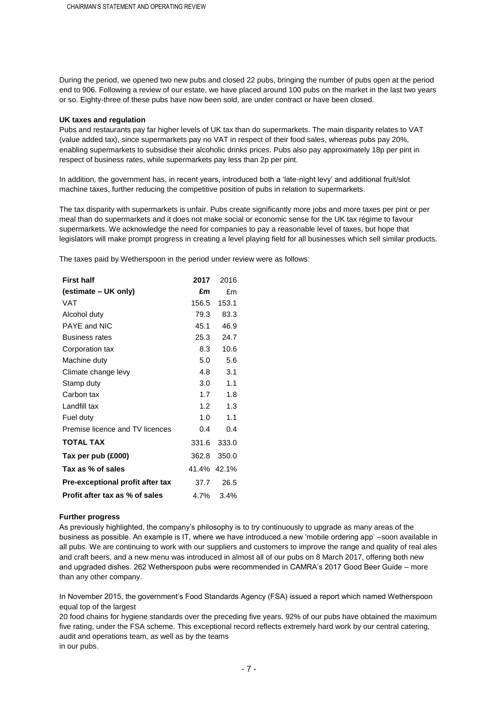During the period, we opened two new pubs and closed 22 pubs, bringing the number of pubs open at the period end to 906. Following a review of our estate, we have placed around 100 pubs on the market in the last two years or so. Eighty-three of these pubs have now been sold, are under contract or have been closed.

#### **UK taxes and regulation**

Pubs and restaurants pay far higher levels of UK tax than do supermarkets. The main disparity relates to VAT (value added tax), since supermarkets pay no VAT in respect of their food sales, whereas pubs pay 20%, enabling supermarkets to subsidise their alcoholic drinks prices. Pubs also pay approximately 18p per pint in respect of business rates, while supermarkets pay less than 2p per pint.

In addition, the government has, in recent years, introduced both a 'late-night levy' and additional fruit/slot machine taxes, further reducing the competitive position of pubs in relation to supermarkets.

The tax disparity with supermarkets is unfair. Pubs create significantly more jobs and more taxes per pint or per meal than do supermarkets and it does not make social or economic sense for the UK tax régime to favour supermarkets. We acknowledge the need for companies to pay a reasonable level of taxes, but hope that legislators will make prompt progress in creating a level playing field for all businesses which sell similar products.

The taxes paid by Wetherspoon in the period under review were as follows:

| <b>First half</b>                | 2017             | 2016  |
|----------------------------------|------------------|-------|
| (estimate – UK only)             | £m               | £m    |
| VAT                              | 156.5            | 153.1 |
| Alcohol duty                     | 79.3             | 83.3  |
| PAYE and NIC                     | 45.1             | 46.9  |
| <b>Business rates</b>            | 25.3             | 24.7  |
| Corporation tax                  | 8.3              | 10.6  |
| Machine duty                     | 5.0              | 5.6   |
| Climate change levy              | 4.8              | 3.1   |
| Stamp duty                       | 3.0 <sub>1</sub> | 1.1   |
| Carbon tax                       | 1.7              | 1.8   |
| Landfill tax                     | 1.2              | 1.3   |
| Fuel duty                        | 1.0              | 1.1   |
| Premise licence and TV licences  | 0.4              | 0.4   |
| <b>TOTAL TAX</b>                 | 331.6            | 333.0 |
| Tax per pub (£000)               | 362.8            | 350.0 |
| Tax as % of sales                | 41.4% 42.1%      |       |
| Pre-exceptional profit after tax | 37.7             | 26.5  |
| Profit after tax as % of sales   | 4.7%             | 3.4%  |

#### **Further progress**

As previously highlighted, the company's philosophy is to try continuously to upgrade as many areas of the business as possible. An example is IT, where we have introduced a new 'mobile ordering app' –soon available in all pubs. We are continuing to work with our suppliers and customers to improve the range and quality of real ales and craft beers, and a new menu was introduced in almost all of our pubs on 8 March 2017, offering both new and upgraded dishes. 262 Wetherspoon pubs were recommended in CAMRA's 2017 Good Beer Guide – more than any other company.

In November 2015, the government's Food Standards Agency (FSA) issued a report which named Wetherspoon equal top of the largest

20 food chains for hygiene standards over the preceding five years. 92% of our pubs have obtained the maximum five rating, under the FSA scheme. This exceptional record reflects extremely hard work by our central catering, audit and operations team, as well as by the teams in our pubs.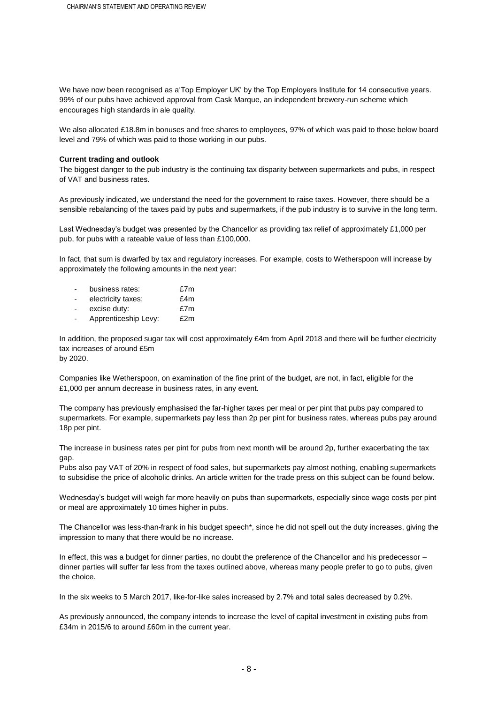We have now been recognised as a'Top Employer UK' by the Top Employers Institute for 14 consecutive years. 99% of our pubs have achieved approval from Cask Marque, an independent brewery-run scheme which encourages high standards in ale quality.

We also allocated £18.8m in bonuses and free shares to employees, 97% of which was paid to those below board level and 79% of which was paid to those working in our pubs.

#### **Current trading and outlook**

The biggest danger to the pub industry is the continuing tax disparity between supermarkets and pubs, in respect of VAT and business rates.

As previously indicated, we understand the need for the government to raise taxes. However, there should be a sensible rebalancing of the taxes paid by pubs and supermarkets, if the pub industry is to survive in the long term.

Last Wednesday's budget was presented by the Chancellor as providing tax relief of approximately £1,000 per pub, for pubs with a rateable value of less than £100,000.

In fact, that sum is dwarfed by tax and regulatory increases. For example, costs to Wetherspoon will increase by approximately the following amounts in the next year:

- business rates: £7m
- electricity taxes: £4m
- excise duty: £7m
- Apprenticeship Levy: £2m

In addition, the proposed sugar tax will cost approximately £4m from April 2018 and there will be further electricity tax increases of around £5m

by 2020.

Companies like Wetherspoon, on examination of the fine print of the budget, are not, in fact, eligible for the £1,000 per annum decrease in business rates, in any event.

The company has previously emphasised the far-higher taxes per meal or per pint that pubs pay compared to supermarkets. For example, supermarkets pay less than 2p per pint for business rates, whereas pubs pay around 18p per pint.

The increase in business rates per pint for pubs from next month will be around 2p, further exacerbating the tax gap.

Pubs also pay VAT of 20% in respect of food sales, but supermarkets pay almost nothing, enabling supermarkets to subsidise the price of alcoholic drinks. An article written for the trade press on this subject can be found below.

Wednesday's budget will weigh far more heavily on pubs than supermarkets, especially since wage costs per pint or meal are approximately 10 times higher in pubs.

The Chancellor was less-than-frank in his budget speech\*, since he did not spell out the duty increases, giving the impression to many that there would be no increase.

In effect, this was a budget for dinner parties, no doubt the preference of the Chancellor and his predecessor – dinner parties will suffer far less from the taxes outlined above, whereas many people prefer to go to pubs, given the choice.

In the six weeks to 5 March 2017, like-for-like sales increased by 2.7% and total sales decreased by 0.2%.

As previously announced, the company intends to increase the level of capital investment in existing pubs from £34m in 2015/6 to around £60m in the current year.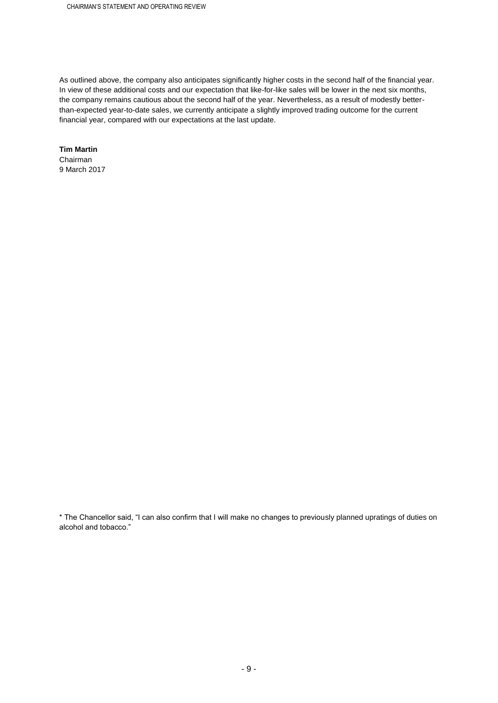As outlined above, the company also anticipates significantly higher costs in the second half of the financial year. In view of these additional costs and our expectation that like-for-like sales will be lower in the next six months, the company remains cautious about the second half of the year. Nevertheless, as a result of modestly betterthan-expected year-to-date sales, we currently anticipate a slightly improved trading outcome for the current financial year, compared with our expectations at the last update.

**Tim Martin** Chairman 9 March 2017

\* The Chancellor said, "I can also confirm that I will make no changes to previously planned upratings of duties on alcohol and tobacco."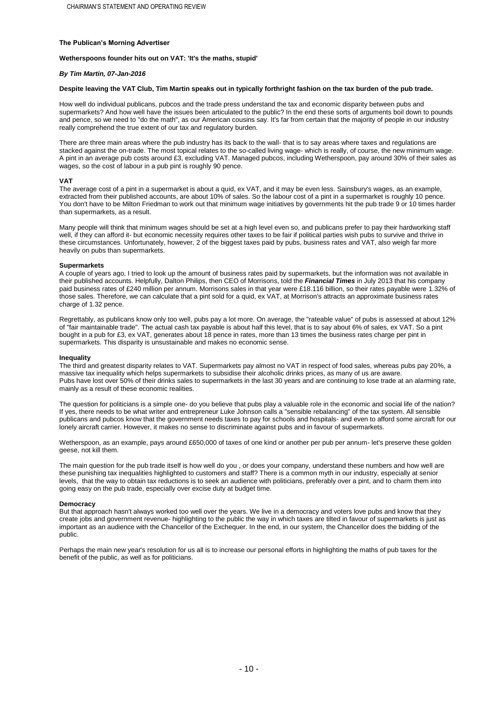#### **The Publican's Morning Advertiser**

#### **Wetherspoons founder hits out on VAT: 'It's the maths, stupid'**

#### *By Tim Martin, 07-Jan-2016*

#### **Despite leaving the VAT Club, Tim Martin speaks out in typically forthright fashion on the tax burden of the pub trade.**

How well do individual publicans, pubcos and the trade press understand the tax and economic disparity between pubs and supermarkets? And how well have the issues been articulated to the public? In the end these sorts of arguments boil down to pounds and pence, so we need to "do the math", as our American cousins say. It's far from certain that the majority of people in our industry really comprehend the true extent of our tax and regulatory burden.

There are three main areas where the pub industry has its back to the wall- that is to say areas where taxes and regulations are stacked against the on-trade. The most topical relates to the so-called living wage- which is really, of course, the new minimum wage. A pint in an average pub costs around £3, excluding VAT. Managed pubcos, including Wetherspoon, pay around 30% of their sales as wages, so the cost of labour in a pub pint is roughly 90 pence.

#### **VAT**

The average cost of a pint in a supermarket is about a quid, ex VAT, and it may be even less. Sainsbury's wages, as an example, extracted from their published accounts, are about 10% of sales. So the labour cost of a pint in a supermarket is roughly 10 pence. You don't have to be Milton Friedman to work out that minimum wage initiatives by governments hit the pub trade 9 or 10 times harder than supermarkets, as a result.

Many people will think that minimum wages should be set at a high level even so, and publicans prefer to pay their hardworking staff well, if they can afford it- but economic necessity requires other taxes to be fair if political parties wish pubs to survive and thrive in these circumstances. Unfortunately, however, 2 of the biggest taxes paid by pubs, business rates and VAT, also weigh far more heavily on pubs than supermarkets.

#### **Supermarkets**

A couple of years ago, I tried to look up the amount of business rates paid by supermarkets, but the information was not available in their published accounts. Helpfully, Dalton Philips, then CEO of Morrisons, told the *Financial Times* in July 2013 that his company paid business rates of £240 million per annum. Morrisons sales in that year were £18.116 billion, so their rates payable were 1.32% of those sales. Therefore, we can calculate that a pint sold for a quid, ex VAT, at Morrison's attracts an approximate business rates charge of 1.32 pence.

Regrettably, as publicans know only too well, pubs pay a lot more. On average, the "rateable value" of pubs is assessed at about 12% of "fair maintainable trade". The actual cash tax payable is about half this level, that is to say about 6% of sales, ex VAT. So a pint bought in a pub for £3, ex VAT, generates about 18 pence in rates, more than 13 times the business rates charge per pint in supermarkets. This disparity is unsustainable and makes no economic sense.

#### **Inequality**

The third and greatest disparity relates to VAT. Supermarkets pay almost no VAT in respect of food sales, whereas pubs pay 20%, a massive tax inequality which helps supermarkets to subsidise their alcoholic drinks prices, as many of us are aware. Pubs have lost over 50% of their drinks sales to supermarkets in the last 30 years and are continuing to lose trade at an alarming rate, mainly as a result of these economic realities.

The question for politicians is a simple one- do you believe that pubs play a valuable role in the economic and social life of the nation? If yes, there needs to be what writer and entrepreneur Luke Johnson calls a "sensible rebalancing" of the tax system. All sensible publicans and pubcos know that the government needs taxes to pay for schools and hospitals- and even to afford some aircraft for our lonely aircraft carrier. However, it makes no sense to discriminate against pubs and in favour of supermarkets.

Wetherspoon, as an example, pays around £650,000 of taxes of one kind or another per pub per annum- let's preserve these golden geese, not kill them.

The main question for the pub trade itself is how well do you , or does your company, understand these numbers and how well are these punishing tax inequalities highlighted to customers and staff? There is a common myth in our industry, especially at senior levels, that the way to obtain tax reductions is to seek an audience with politicians, preferably over a pint, and to charm them into going easy on the pub trade, especially over excise duty at budget time.

#### **Democracy**

But that approach hasn't always worked too well over the years. We live in a democracy and voters love pubs and know that they create jobs and government revenue- highlighting to the public the way in which taxes are tilted in favour of supermarkets is just as important as an audience with the Chancellor of the Exchequer. In the end, in our system, the Chancellor does the bidding of the public.

Perhaps the main new year's resolution for us all is to increase our personal efforts in highlighting the maths of pub taxes for the benefit of the public, as well as for politicians.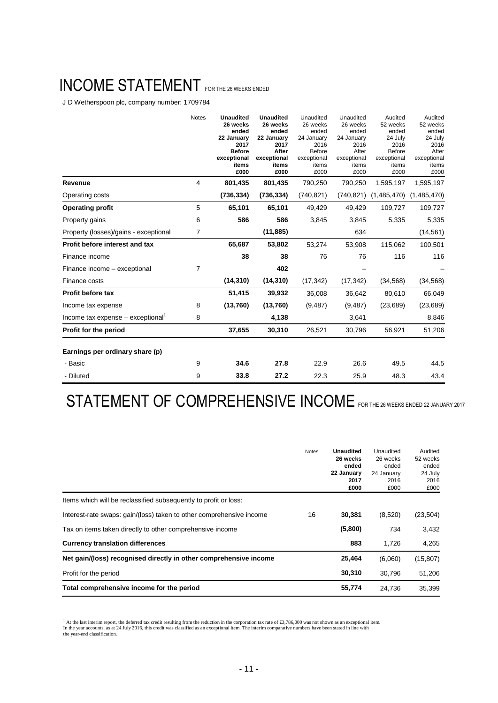# INCOME STATEMENT FOR THE 26 WEEKS ENDED

J D Wetherspoon plc, company number: 1709784

|                                       | <b>Notes</b> | <b>Unaudited</b><br>26 weeks<br>ended<br>22 January<br>2017<br><b>Before</b><br>exceptional<br>items<br>£000 | <b>Unaudited</b><br>26 weeks<br>ended<br>22 January<br>2017<br>After<br>exceptional<br>items<br>£000 | Unaudited<br>26 weeks<br>ended<br>24 January<br>2016<br><b>Before</b><br>exceptional<br>items<br>£000 | Unaudited<br>26 weeks<br>ended<br>24 January<br>2016<br>After<br>exceptional<br>items<br>£000 | Audited<br>52 weeks<br>ended<br>24 July<br>2016<br><b>Before</b><br>exceptional<br>items<br>£000 | Audited<br>52 weeks<br>ended<br>24 July<br>2016<br>After<br>exceptional<br>items<br>£000 |
|---------------------------------------|--------------|--------------------------------------------------------------------------------------------------------------|------------------------------------------------------------------------------------------------------|-------------------------------------------------------------------------------------------------------|-----------------------------------------------------------------------------------------------|--------------------------------------------------------------------------------------------------|------------------------------------------------------------------------------------------|
| Revenue                               | 4            | 801,435                                                                                                      | 801,435                                                                                              | 790,250                                                                                               | 790,250                                                                                       | 1,595,197                                                                                        | 1,595,197                                                                                |
| Operating costs                       |              | (736, 334)                                                                                                   | (736, 334)                                                                                           | (740, 821)                                                                                            | (740.821)                                                                                     | (1,485,470)                                                                                      | (1,485,470)                                                                              |
| <b>Operating profit</b>               | 5            | 65,101                                                                                                       | 65,101                                                                                               | 49,429                                                                                                | 49,429                                                                                        | 109,727                                                                                          | 109,727                                                                                  |
| Property gains                        | 6            | 586                                                                                                          | 586                                                                                                  | 3,845                                                                                                 | 3,845                                                                                         | 5,335                                                                                            | 5,335                                                                                    |
| Property (losses)/gains - exceptional | 7            |                                                                                                              | (11, 885)                                                                                            |                                                                                                       | 634                                                                                           |                                                                                                  | (14, 561)                                                                                |
| Profit before interest and tax        |              | 65,687                                                                                                       | 53,802                                                                                               | 53,274                                                                                                | 53,908                                                                                        | 115,062                                                                                          | 100,501                                                                                  |
| Finance income                        |              | 38                                                                                                           | 38                                                                                                   | 76                                                                                                    | 76                                                                                            | 116                                                                                              | 116                                                                                      |
| Finance income - exceptional          | 7            |                                                                                                              | 402                                                                                                  |                                                                                                       |                                                                                               |                                                                                                  |                                                                                          |
| Finance costs                         |              | (14, 310)                                                                                                    | (14, 310)                                                                                            | (17, 342)                                                                                             | (17, 342)                                                                                     | (34, 568)                                                                                        | (34, 568)                                                                                |
| <b>Profit before tax</b>              |              | 51,415                                                                                                       | 39,932                                                                                               | 36,008                                                                                                | 36,642                                                                                        | 80,610                                                                                           | 66,049                                                                                   |
| Income tax expense                    | 8            | (13, 760)                                                                                                    | (13,760)                                                                                             | (9, 487)                                                                                              | (9, 487)                                                                                      | (23, 689)                                                                                        | (23, 689)                                                                                |
| Income tax expense - exceptional      | 8            |                                                                                                              | 4,138                                                                                                |                                                                                                       | 3,641                                                                                         |                                                                                                  | 8,846                                                                                    |
| Profit for the period                 |              | 37,655                                                                                                       | 30,310                                                                                               | 26,521                                                                                                | 30,796                                                                                        | 56,921                                                                                           | 51,206                                                                                   |
| Earnings per ordinary share (p)       |              |                                                                                                              |                                                                                                      |                                                                                                       |                                                                                               |                                                                                                  |                                                                                          |
| - Basic                               | 9            | 34.6                                                                                                         | 27.8                                                                                                 | 22.9                                                                                                  | 26.6                                                                                          | 49.5                                                                                             | 44.5                                                                                     |
| - Diluted                             | 9            | 33.8                                                                                                         | 27.2                                                                                                 | 22.3                                                                                                  | 25.9                                                                                          | 48.3                                                                                             | 43.4                                                                                     |

# STATEMENT OF COMPREHENSIVE INCOME FOR THE 26 WEEKS ENDED 22 JANUARY 2017

|                                                                      | <b>Notes</b> | <b>Unaudited</b><br>26 weeks<br>ended<br>22 January<br>2017<br>£000 | Unaudited<br>26 weeks<br>ended<br>24 January<br>2016<br>£000 | Audited<br>52 weeks<br>ended<br>24 July<br>2016<br>£000 |
|----------------------------------------------------------------------|--------------|---------------------------------------------------------------------|--------------------------------------------------------------|---------------------------------------------------------|
| Items which will be reclassified subsequently to profit or loss:     |              |                                                                     |                                                              |                                                         |
| Interest-rate swaps: gain/(loss) taken to other comprehensive income | 16           | 30.381                                                              | (8,520)                                                      | (23, 504)                                               |
| Tax on items taken directly to other comprehensive income            |              | (5,800)                                                             | 734                                                          | 3,432                                                   |
| <b>Currency translation differences</b>                              |              | 883                                                                 | 1.726                                                        | 4.265                                                   |
| Net gain/(loss) recognised directly in other comprehensive income    |              | 25,464                                                              | (6,060)                                                      | (15, 807)                                               |
| Profit for the period                                                |              | 30,310                                                              | 30.796                                                       | 51,206                                                  |
| Total comprehensive income for the period                            |              | 55,774                                                              | 24.736                                                       | 35.399                                                  |

<sup>1</sup> At the last interim report, the deferred tax credit resulting from the reduction in the corporation tax rate of £3,786,000 was not shown as an exceptional item.<br>In the year accounts, as at 24 July 2016, this credit was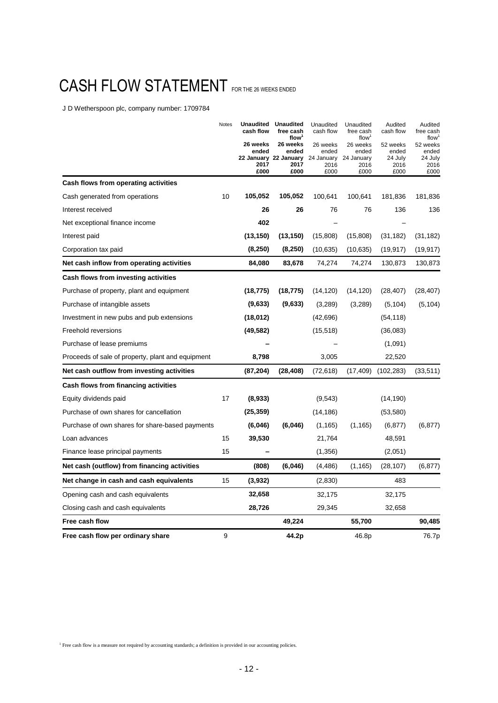# CASH FLOW STATEMENT FOR THE 26 WEEKS ENDED

J D Wetherspoon plc, company number: 1709784

|                                                   | Notes | <b>Unaudited</b><br>cash flow     | <b>Unaudited</b><br>free cash<br>flow <sup>1</sup>         | Unaudited<br>cash flow                          | Unaudited<br>free cash<br>flow <sup>1</sup>     | Audited<br>cash flow                         | Audited<br>free cash<br>flow <sup>1</sup>    |
|---------------------------------------------------|-------|-----------------------------------|------------------------------------------------------------|-------------------------------------------------|-------------------------------------------------|----------------------------------------------|----------------------------------------------|
|                                                   |       | 26 weeks<br>ended<br>2017<br>£000 | 26 weeks<br>ended<br>22 January 22 January<br>2017<br>£000 | 26 weeks<br>ended<br>24 January<br>2016<br>£000 | 26 weeks<br>ended<br>24 January<br>2016<br>£000 | 52 weeks<br>ended<br>24 July<br>2016<br>£000 | 52 weeks<br>ended<br>24 July<br>2016<br>£000 |
| Cash flows from operating activities              |       |                                   |                                                            |                                                 |                                                 |                                              |                                              |
| Cash generated from operations                    | 10    | 105,052                           | 105,052                                                    | 100,641                                         | 100,641                                         | 181,836                                      | 181,836                                      |
| Interest received                                 |       | 26                                | 26                                                         | 76                                              | 76                                              | 136                                          | 136                                          |
| Net exceptional finance income                    |       | 402                               |                                                            |                                                 |                                                 |                                              |                                              |
| Interest paid                                     |       | (13, 150)                         | (13, 150)                                                  | (15,808)                                        | (15,808)                                        | (31, 182)                                    | (31, 182)                                    |
| Corporation tax paid                              |       | (8, 250)                          | (8, 250)                                                   | (10, 635)                                       | (10, 635)                                       | (19, 917)                                    | (19, 917)                                    |
| Net cash inflow from operating activities         |       | 84,080                            | 83,678                                                     | 74,274                                          | 74,274                                          | 130,873                                      | 130,873                                      |
| Cash flows from investing activities              |       |                                   |                                                            |                                                 |                                                 |                                              |                                              |
| Purchase of property, plant and equipment         |       | (18, 775)                         | (18, 775)                                                  | (14, 120)                                       | (14, 120)                                       | (28, 407)                                    | (28, 407)                                    |
| Purchase of intangible assets                     |       | (9,633)                           | (9,633)                                                    | (3,289)                                         | (3,289)                                         | (5, 104)                                     | (5, 104)                                     |
| Investment in new pubs and pub extensions         |       | (18, 012)                         |                                                            | (42, 696)                                       |                                                 | (54, 118)                                    |                                              |
| Freehold reversions                               |       | (49, 582)                         |                                                            | (15, 518)                                       |                                                 | (36,083)                                     |                                              |
| Purchase of lease premiums                        |       |                                   |                                                            |                                                 |                                                 | (1,091)                                      |                                              |
| Proceeds of sale of property, plant and equipment |       | 8,798                             |                                                            | 3,005                                           |                                                 | 22,520                                       |                                              |
| Net cash outflow from investing activities        |       | (87, 204)                         | (28, 408)                                                  | (72, 618)                                       | (17, 409)                                       | (102, 283)                                   | (33, 511)                                    |
| Cash flows from financing activities              |       |                                   |                                                            |                                                 |                                                 |                                              |                                              |
| Equity dividends paid                             | 17    | (8,933)                           |                                                            | (9,543)                                         |                                                 | (14, 190)                                    |                                              |
| Purchase of own shares for cancellation           |       | (25, 359)                         |                                                            | (14, 186)                                       |                                                 | (53, 580)                                    |                                              |
| Purchase of own shares for share-based payments   |       | (6,046)                           | (6,046)                                                    | (1, 165)                                        | (1, 165)                                        | (6, 877)                                     | (6, 877)                                     |
| Loan advances                                     | 15    | 39,530                            |                                                            | 21,764                                          |                                                 | 48,591                                       |                                              |
| Finance lease principal payments                  | 15    |                                   |                                                            | (1,356)                                         |                                                 | (2,051)                                      |                                              |
| Net cash (outflow) from financing activities      |       | (808)                             | (6,046)                                                    | (4, 486)                                        | (1, 165)                                        | (28, 107)                                    | (6, 877)                                     |
| Net change in cash and cash equivalents           | 15    | (3,932)                           |                                                            | (2,830)                                         |                                                 | 483                                          |                                              |
| Opening cash and cash equivalents                 |       | 32,658                            |                                                            | 32,175                                          |                                                 | 32,175                                       |                                              |
| Closing cash and cash equivalents                 |       | 28,726                            |                                                            | 29,345                                          |                                                 | 32,658                                       |                                              |
| Free cash flow                                    |       |                                   | 49,224                                                     |                                                 | 55,700                                          |                                              | 90,485                                       |
| Free cash flow per ordinary share                 | 9     |                                   | 44.2p                                                      |                                                 | 46.8p                                           |                                              | 76.7p                                        |

<sup>1</sup> Free cash flow is a measure not required by accounting standards; a definition is provided in our accounting policies.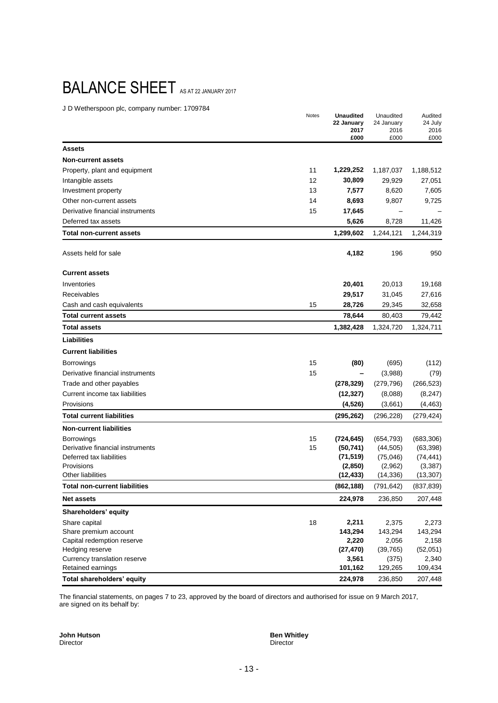# BALANCE SHEET AS AT 22 JANUARY 2017

J D Wetherspoon plc, company number: 1709784

|                                      | Notes | <b>Unaudited</b><br>22 January | Unaudited<br>24 January | Audited<br>24 July |
|--------------------------------------|-------|--------------------------------|-------------------------|--------------------|
|                                      |       | 2017<br>£000                   | 2016<br>£000            | 2016<br>£000       |
| <b>Assets</b>                        |       |                                |                         |                    |
| <b>Non-current assets</b>            |       |                                |                         |                    |
| Property, plant and equipment        | 11    | 1,229,252                      | 1,187,037               | 1,188,512          |
| Intangible assets                    | 12    | 30,809                         | 29,929                  | 27,051             |
| Investment property                  | 13    | 7,577                          | 8,620                   | 7,605              |
| Other non-current assets             | 14    | 8,693                          | 9,807                   | 9,725              |
| Derivative financial instruments     | 15    | 17,645                         |                         |                    |
| Deferred tax assets                  |       | 5,626                          | 8,728                   | 11,426             |
| Total non-current assets             |       | 1,299,602                      | 1,244,121               | 1,244,319          |
|                                      |       |                                |                         |                    |
| Assets held for sale                 |       | 4,182                          | 196                     | 950                |
| <b>Current assets</b>                |       |                                |                         |                    |
| Inventories                          |       | 20,401                         | 20,013                  | 19,168             |
| Receivables                          |       | 29,517                         | 31,045                  | 27,616             |
| Cash and cash equivalents            | 15    | 28,726                         | 29,345                  | 32,658             |
| <b>Total current assets</b>          |       | 78,644                         | 80,403                  | 79,442             |
| Total assets                         |       | 1,382,428                      | 1,324,720               | 1,324,711          |
| <b>Liabilities</b>                   |       |                                |                         |                    |
| <b>Current liabilities</b>           |       |                                |                         |                    |
| <b>Borrowings</b>                    | 15    | (80)                           | (695)                   | (112)              |
| Derivative financial instruments     | 15    |                                | (3,988)                 | (79)               |
| Trade and other payables             |       | (278, 329)                     | (279, 796)              | (266, 523)         |
| Current income tax liabilities       |       | (12, 327)                      | (8,088)                 | (8, 247)           |
| Provisions                           |       | (4,526)                        | (3,661)                 | (4, 463)           |
| <b>Total current liabilities</b>     |       | (295, 262)                     | (296, 228)              | (279, 424)         |
| <b>Non-current liabilities</b>       |       |                                |                         |                    |
| <b>Borrowings</b>                    | 15    | (724, 645)                     | (654, 793)              | (683, 306)         |
| Derivative financial instruments     | 15    | (50, 741)                      | (44, 505)               | (63, 398)          |
| Deferred tax liabilities             |       | (71, 519)                      | (75, 046)               | (74, 441)          |
| Provisions                           |       | (2,850)                        | (2,962)                 | (3,387)            |
| Other liabilities                    |       | (12, 433)                      | (14, 336)               | (13, 307)          |
| <b>Total non-current liabilities</b> |       | (862, 188)                     | (791, 642)              | (837, 839)         |
| <b>Net assets</b>                    |       | 224,978                        | 236,850                 | 207,448            |
| Shareholders' equity                 |       |                                |                         |                    |
| Share capital                        | 18    | 2,211                          | 2,375                   | 2,273              |
| Share premium account                |       | 143,294                        | 143,294                 | 143,294            |
| Capital redemption reserve           |       | 2,220                          | 2,056                   | 2,158              |
| Hedging reserve                      |       | (27, 470)                      | (39, 765)               | (52,051)           |
| Currency translation reserve         |       | 3,561                          | (375)                   | 2,340              |
| Retained earnings                    |       | 101,162                        | 129,265                 | 109,434            |
| Total shareholders' equity           |       | 224,978                        | 236,850                 | 207,448            |

The financial statements, on pages 7 to 23, approved by the board of directors and authorised for issue on 9 March 2017, are signed on its behalf by:

**John Hutson Ben Whitley**

Director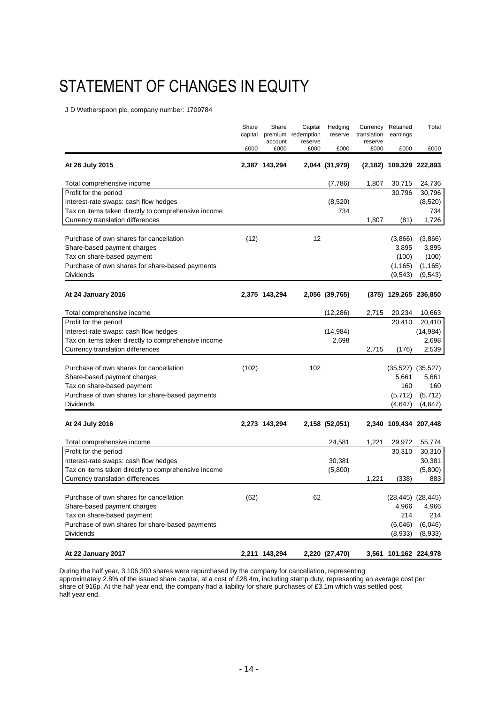# STATEMENT OF CHANGES IN EQUITY

J D Wetherspoon plc, company number: 1709784

|                                                                                         | Share<br>capital | Share<br>account | Capital<br>premium redemption<br>reserve | Hedging<br>reserve | Currency<br>translation<br>reserve | Retained<br>earnings           | Total                            |
|-----------------------------------------------------------------------------------------|------------------|------------------|------------------------------------------|--------------------|------------------------------------|--------------------------------|----------------------------------|
|                                                                                         | £000             | £000             | £000                                     | £000               | £000                               | £000                           | £000                             |
| At 26 July 2015                                                                         |                  | 2,387 143,294    |                                          | 2,044 (31,979)     |                                    | (2,182) 109,329 222,893        |                                  |
| Total comprehensive income                                                              |                  |                  |                                          | (7,786)            | 1,807                              | 30,715                         | 24,736                           |
| Profit for the period                                                                   |                  |                  |                                          |                    |                                    | 30,796                         | 30,796                           |
| Interest-rate swaps: cash flow hedges                                                   |                  |                  |                                          | (8,520)            |                                    |                                | (8,520)                          |
| Tax on items taken directly to comprehensive income<br>Currency translation differences |                  |                  |                                          | 734                | 1,807                              | (81)                           | 734<br>1,726                     |
|                                                                                         |                  |                  |                                          |                    |                                    |                                |                                  |
| Purchase of own shares for cancellation                                                 | (12)             |                  | 12                                       |                    |                                    | (3,866)                        | (3,866)                          |
| Share-based payment charges                                                             |                  |                  |                                          |                    |                                    | 3,895                          | 3,895                            |
| Tax on share-based payment                                                              |                  |                  |                                          |                    |                                    | (100)                          | (100)                            |
| Purchase of own shares for share-based payments                                         |                  |                  |                                          |                    |                                    | (1, 165)                       | (1, 165)                         |
| <b>Dividends</b>                                                                        |                  |                  |                                          |                    |                                    | (9,543)                        | (9, 543)                         |
|                                                                                         |                  |                  |                                          |                    |                                    |                                |                                  |
| <b>At 24 January 2016</b>                                                               |                  | 2,375 143,294    |                                          | 2,056 (39,765)     |                                    | (375) 129,265 236,850          |                                  |
| Total comprehensive income                                                              |                  |                  |                                          | (12, 286)          | 2,715                              | 20,234                         | 10,663                           |
| Profit for the period                                                                   |                  |                  |                                          |                    |                                    | 20,410                         | 20,410                           |
| Interest-rate swaps: cash flow hedges                                                   |                  |                  |                                          | (14, 984)          |                                    |                                | (14, 984)                        |
| Tax on items taken directly to comprehensive income                                     |                  |                  |                                          | 2,698              |                                    |                                | 2,698                            |
| Currency translation differences                                                        |                  |                  |                                          |                    | 2,715                              | (176)                          | 2,539                            |
| Purchase of own shares for cancellation                                                 | (102)            |                  | 102                                      |                    |                                    |                                |                                  |
| Share-based payment charges                                                             |                  |                  |                                          |                    |                                    | $(35,527)$ $(35,527)$<br>5,661 | 5,661                            |
| Tax on share-based payment                                                              |                  |                  |                                          |                    |                                    | 160                            | 160                              |
| Purchase of own shares for share-based payments                                         |                  |                  |                                          |                    |                                    | (5, 712)                       | (5, 712)                         |
| <b>Dividends</b>                                                                        |                  |                  |                                          |                    |                                    | (4,647)                        | (4,647)                          |
|                                                                                         |                  |                  |                                          |                    |                                    |                                |                                  |
| At 24 July 2016                                                                         |                  | 2,273 143,294    |                                          | 2,158 (52,051)     | 2,340                              | 109,434 207,448                |                                  |
| Total comprehensive income                                                              |                  |                  |                                          | 24,581             | 1,221                              | 29,972                         | 55,774                           |
| Profit for the period                                                                   |                  |                  |                                          |                    |                                    | 30,310                         | 30,310                           |
| Interest-rate swaps: cash flow hedges                                                   |                  |                  |                                          | 30,381             |                                    |                                | 30,381                           |
| Tax on items taken directly to comprehensive income                                     |                  |                  |                                          | (5,800)            |                                    |                                | (5,800)                          |
| Currency translation differences                                                        |                  |                  |                                          |                    | 1,221                              | (338)                          | 883                              |
| Purchase of own shares for cancellation                                                 |                  |                  | 62                                       |                    |                                    |                                |                                  |
| Share-based payment charges                                                             | (62)             |                  |                                          |                    |                                    | 4,966                          | $(28, 445)$ $(28, 445)$<br>4,966 |
| Tax on share-based payment                                                              |                  |                  |                                          |                    |                                    | 214                            | 214                              |
| Purchase of own shares for share-based payments                                         |                  |                  |                                          |                    |                                    | (6,046)                        | (6,046)                          |
| <b>Dividends</b>                                                                        |                  |                  |                                          |                    |                                    | (8,933)                        | (8,933)                          |
|                                                                                         |                  |                  |                                          |                    |                                    |                                |                                  |
| At 22 January 2017                                                                      |                  | 2,211 143,294    |                                          | 2,220 (27,470)     |                                    | 3,561 101,162 224,978          |                                  |

During the half year, 3,106,300 shares were repurchased by the company for cancellation, representing approximately 2.8% of the issued share capital, at a cost of £28.4m, including stamp duty, representing an average cost per share of 916p. At the half year end, the company had a liability for share purchases of £3.1m which was settled post half year end.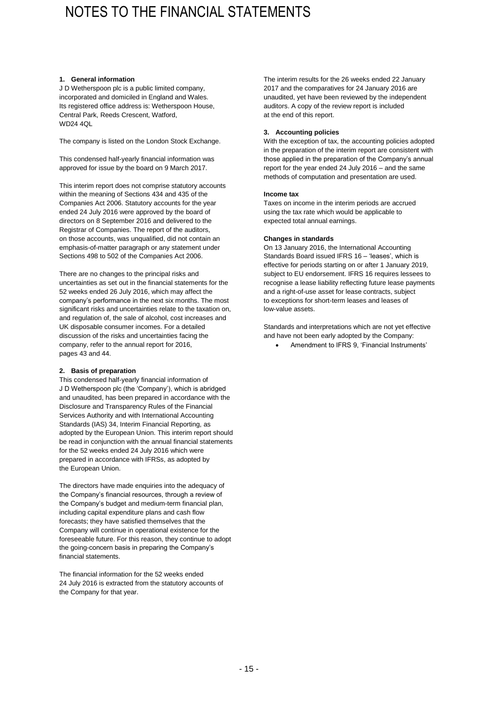## NOTES TO THE FINANCIAL STATEMENTS

#### **1. General information**

J D Wetherspoon plc is a public limited company, incorporated and domiciled in England and Wales. Its registered office address is: Wetherspoon House, Central Park, Reeds Crescent, Watford, WD24 4QL

The company is listed on the London Stock Exchange.

This condensed half-yearly financial information was approved for issue by the board on 9 March 2017.

This interim report does not comprise statutory accounts within the meaning of Sections 434 and 435 of the Companies Act 2006. Statutory accounts for the year ended 24 July 2016 were approved by the board of directors on 8 September 2016 and delivered to the Registrar of Companies. The report of the auditors, on those accounts, was unqualified, did not contain an emphasis-of-matter paragraph or any statement under Sections 498 to 502 of the Companies Act 2006.

There are no changes to the principal risks and uncertainties as set out in the financial statements for the 52 weeks ended 26 July 2016, which may affect the company's performance in the next six months. The most significant risks and uncertainties relate to the taxation on, and regulation of, the sale of alcohol, cost increases and UK disposable consumer incomes. For a detailed discussion of the risks and uncertainties facing the company, refer to the annual report for 2016, pages 43 and 44.

#### **2. Basis of preparation**

This condensed half-yearly financial information of J D Wetherspoon plc (the 'Company'), which is abridged and unaudited, has been prepared in accordance with the Disclosure and Transparency Rules of the Financial Services Authority and with International Accounting Standards (IAS) 34, Interim Financial Reporting, as adopted by the European Union. This interim report should be read in conjunction with the annual financial statements for the 52 weeks ended 24 July 2016 which were prepared in accordance with IFRSs, as adopted by the European Union.

The directors have made enquiries into the adequacy of the Company's financial resources, through a review of the Company's budget and medium-term financial plan, including capital expenditure plans and cash flow forecasts; they have satisfied themselves that the Company will continue in operational existence for the foreseeable future. For this reason, they continue to adopt the going-concern basis in preparing the Company's financial statements.

The financial information for the 52 weeks ended 24 July 2016 is extracted from the statutory accounts of the Company for that year.

The interim results for the 26 weeks ended 22 January 2017 and the comparatives for 24 January 2016 are unaudited, yet have been reviewed by the independent auditors. A copy of the review report is included at the end of this report.

#### **3. Accounting policies**

With the exception of tax, the accounting policies adopted in the preparation of the interim report are consistent with those applied in the preparation of the Company's annual report for the year ended 24 July 2016 – and the same methods of computation and presentation are used.

#### **Income tax**

Taxes on income in the interim periods are accrued using the tax rate which would be applicable to expected total annual earnings.

#### **Changes in standards**

On 13 January 2016, the International Accounting Standards Board issued IFRS 16 – 'leases', which is effective for periods starting on or after 1 January 2019, subject to EU endorsement. IFRS 16 requires lessees to recognise a lease liability reflecting future lease payments and a right-of-use asset for lease contracts, subject to exceptions for short-term leases and leases of low-value assets.

Standards and interpretations which are not yet effective and have not been early adopted by the Company:

Amendment to IFRS 9, 'Financial Instruments'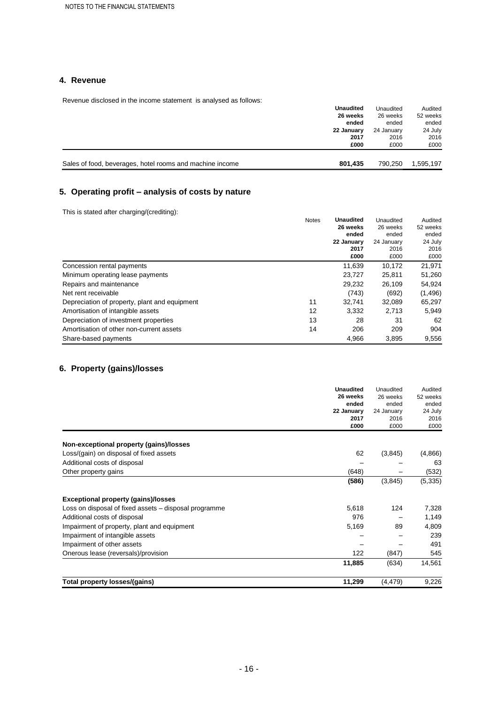## **4. Revenue**

Revenue disclosed in the income statement is analysed as follows:

|                                                          | <b>Unaudited</b> | Unaudited  | Audited   |
|----------------------------------------------------------|------------------|------------|-----------|
|                                                          | 26 weeks         | 26 weeks   | 52 weeks  |
|                                                          | ended            | ended      | ended     |
|                                                          | 22 January       | 24 January | 24 July   |
|                                                          | 2017<br>2016     |            | 2016      |
|                                                          | £000             | £000       | £000      |
|                                                          |                  |            |           |
| Sales of food, beverages, hotel rooms and machine income | 801.435          | 790.250    | 1,595,197 |
|                                                          |                  |            |           |

## **5. Operating profit – analysis of costs by nature**

This is stated after charging/(crediting):

|                                               | <b>Notes</b> | Unaudited  | Unaudited  | Audited  |
|-----------------------------------------------|--------------|------------|------------|----------|
|                                               |              | 26 weeks   | 26 weeks   | 52 weeks |
|                                               |              | ended      | ended      | ended    |
|                                               |              | 22 January | 24 January | 24 July  |
|                                               |              | 2017       | 2016       | 2016     |
|                                               |              | £000       | £000       | £000     |
| Concession rental payments                    |              | 11.639     | 10.172     | 21,971   |
| Minimum operating lease payments              |              | 23,727     | 25,811     | 51,260   |
| Repairs and maintenance                       |              | 29,232     | 26,109     | 54,924   |
| Net rent receivable                           |              | (743)      | (692)      | (1, 496) |
| Depreciation of property, plant and equipment | 11           | 32,741     | 32,089     | 65,297   |
| Amortisation of intangible assets             | 12           | 3,332      | 2,713      | 5,949    |
| Depreciation of investment properties         | 13           | 28         | 31         | 62       |
| Amortisation of other non-current assets      | 14           | 206        | 209        | 904      |
| Share-based payments                          |              | 4,966      | 3,895      | 9,556    |

## **6. Property (gains)/losses**

|                                                       | <b>Unaudited</b><br>26 weeks<br>ended<br>22 January<br>2017<br>£000 | Unaudited<br>26 weeks<br>ended<br>24 January<br>2016<br>£000 | Audited<br>52 weeks<br>ended<br>24 July<br>2016<br>£000 |
|-------------------------------------------------------|---------------------------------------------------------------------|--------------------------------------------------------------|---------------------------------------------------------|
| Non-exceptional property (gains)/losses               |                                                                     |                                                              |                                                         |
| Loss/(gain) on disposal of fixed assets               | 62                                                                  | (3,845)                                                      | (4,866)                                                 |
| Additional costs of disposal                          |                                                                     |                                                              | 63                                                      |
| Other property gains                                  | (648)                                                               |                                                              | (532)                                                   |
|                                                       | (586)                                                               | (3, 845)                                                     | (5, 335)                                                |
| <b>Exceptional property (gains)/losses</b>            |                                                                     |                                                              |                                                         |
| Loss on disposal of fixed assets - disposal programme | 5,618                                                               | 124                                                          | 7,328                                                   |
| Additional costs of disposal                          | 976                                                                 |                                                              | 1,149                                                   |
| Impairment of property, plant and equipment           | 5,169                                                               | 89                                                           | 4,809                                                   |
| Impairment of intangible assets                       |                                                                     |                                                              | 239                                                     |
| Impairment of other assets                            |                                                                     |                                                              | 491                                                     |
| Onerous lease (reversals)/provision                   | 122                                                                 | (847)                                                        | 545                                                     |
|                                                       | 11,885                                                              | (634)                                                        | 14,561                                                  |
| Total property losses/(gains)                         | 11,299                                                              | (4, 479)                                                     | 9,226                                                   |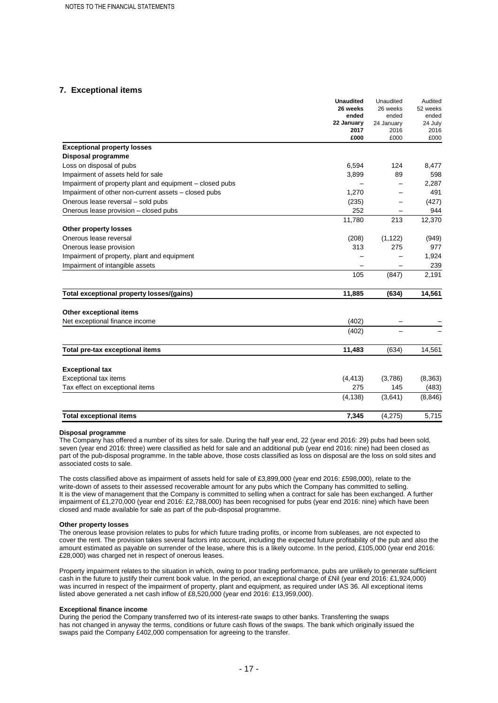### **7. Exceptional items**

|                                                          | <b>Unaudited</b>    | Unaudited         | Audited           |
|----------------------------------------------------------|---------------------|-------------------|-------------------|
|                                                          | 26 weeks            | 26 weeks<br>ended | 52 weeks<br>ended |
|                                                          | ended<br>22 January | 24 January        | 24 July           |
|                                                          | 2017                | 2016              | 2016              |
|                                                          | £000                | £000              | £000              |
| <b>Exceptional property losses</b>                       |                     |                   |                   |
| Disposal programme                                       |                     |                   |                   |
| Loss on disposal of pubs                                 | 6,594               | 124               | 8,477             |
| Impairment of assets held for sale                       | 3,899               | 89                | 598               |
| Impairment of property plant and equipment – closed pubs |                     |                   | 2,287             |
| Impairment of other non-current assets - closed pubs     | 1,270               |                   | 491               |
| Onerous lease reversal - sold pubs                       | (235)               |                   | (427)             |
| Onerous lease provision - closed pubs                    | 252                 |                   | 944               |
|                                                          | 11,780              | 213               | 12,370            |
| Other property losses                                    |                     |                   |                   |
| Onerous lease reversal                                   | (208)               | (1, 122)          | (949)             |
| Onerous lease provision                                  | 313                 | 275               | 977               |
| Impairment of property, plant and equipment              |                     |                   | 1,924             |
| Impairment of intangible assets                          |                     |                   | 239               |
|                                                          | 105                 | (847)             | 2,191             |
| Total exceptional property losses/(gains)                | 11,885              | (634)             | 14,561            |
| Other exceptional items                                  |                     |                   |                   |
| Net exceptional finance income                           | (402)               |                   |                   |
|                                                          | (402)               |                   |                   |
| Total pre-tax exceptional items                          | 11,483              | (634)             | 14,561            |
|                                                          |                     |                   |                   |
| <b>Exceptional tax</b>                                   |                     |                   |                   |
| <b>Exceptional tax items</b>                             | (4, 413)            | (3,786)           | (8, 363)          |
| Tax effect on exceptional items                          | 275                 | 145               | (483)             |
|                                                          | (4, 138)            | (3,641)           | (8, 846)          |
| <b>Total exceptional items</b>                           | 7,345               | (4,275)           | 5,715             |

#### **Disposal programme**

The Company has offered a number of its sites for sale. During the half year end, 22 (year end 2016: 29) pubs had been sold, seven (year end 2016: three) were classified as held for sale and an additional pub (year end 2016: nine) had been closed as part of the pub-disposal programme. In the table above, those costs classified as loss on disposal are the loss on sold sites and associated costs to sale.

The costs classified above as impairment of assets held for sale of £3,899,000 (year end 2016: £598,000), relate to the write-down of assets to their assessed recoverable amount for any pubs which the Company has committed to selling. It is the view of management that the Company is committed to selling when a contract for sale has been exchanged. A further impairment of £1,270,000 (year end 2016: £2,788,000) has been recognised for pubs (year end 2016: nine) which have been closed and made available for sale as part of the pub-disposal programme.

#### **Other property losses**

The onerous lease provision relates to pubs for which future trading profits, or income from subleases, are not expected to cover the rent. The provision takes several factors into account, including the expected future profitability of the pub and also the amount estimated as payable on surrender of the lease, where this is a likely outcome. In the period, £105,000 (year end 2016: £28,000) was charged net in respect of onerous leases.

Property impairment relates to the situation in which, owing to poor trading performance, pubs are unlikely to generate sufficient cash in the future to justify their current book value. In the period, an exceptional charge of £Nil (year end 2016: £1,924,000) was incurred in respect of the impairment of property, plant and equipment, as required under IAS 36. All exceptional items listed above generated a net cash inflow of £8,520,000 (year end 2016: £13,959,000).

#### **Exceptional finance income**

During the period the Company transferred two of its interest-rate swaps to other banks. Transferring the swaps has not changed in anyway the terms, conditions or future cash flows of the swaps. The bank which originally issued the swaps paid the Company £402,000 compensation for agreeing to the transfer.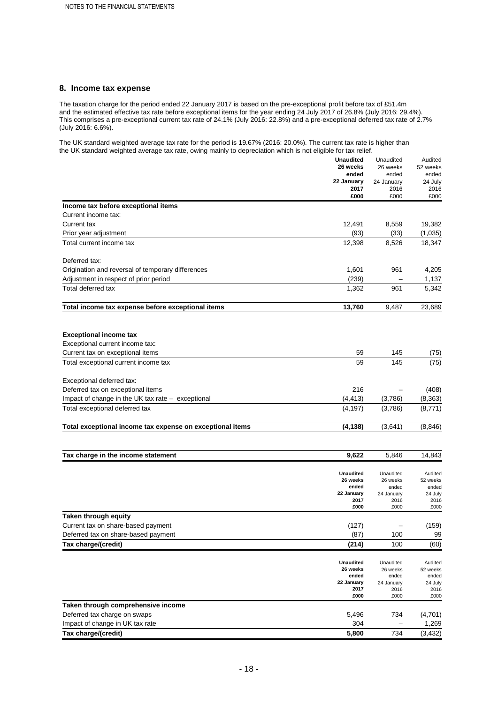## **8. Income tax expense**

The taxation charge for the period ended 22 January 2017 is based on the pre-exceptional profit before tax of £51.4m and the estimated effective tax rate before exceptional items for the year ending 24 July 2017 of 26.8% (July 2016: 29.4%). This comprises a pre-exceptional current tax rate of 24.1% (July 2016: 22.8%) and a pre-exceptional deferred tax rate of 2.7% (July 2016: 6.6%).

The UK standard weighted average tax rate for the period is 19.67% (2016: 20.0%). The current tax rate is higher than the UK standard weighted average tax rate, owing mainly to depreciation which is not eligible for tax relief.

|                                                           | <b>Unaudited</b><br>26 weeks<br>ended | Unaudited<br>26 weeks<br>ended | Audited<br>52 weeks<br>ended |
|-----------------------------------------------------------|---------------------------------------|--------------------------------|------------------------------|
|                                                           | 22 January<br>2017                    | 24 January                     | 24 July                      |
|                                                           | £000                                  | 2016<br>£000                   | 2016<br>£000                 |
| Income tax before exceptional items                       |                                       |                                |                              |
| Current income tax:                                       |                                       |                                |                              |
| Current tax                                               | 12,491                                | 8,559                          | 19,382                       |
| Prior year adjustment                                     | (93)                                  | (33)                           | (1,035)                      |
| Total current income tax                                  | 12,398                                | 8,526                          | 18,347                       |
| Deferred tax:                                             |                                       |                                |                              |
| Origination and reversal of temporary differences         | 1,601                                 | 961                            | 4,205                        |
| Adjustment in respect of prior period                     | (239)                                 |                                | 1,137                        |
| Total deferred tax                                        | 1,362                                 | 961                            | 5,342                        |
| Total income tax expense before exceptional items         | 13,760                                | 9,487                          | 23,689                       |
|                                                           |                                       |                                |                              |
| <b>Exceptional income tax</b>                             |                                       |                                |                              |
| Exceptional current income tax:                           |                                       |                                |                              |
| Current tax on exceptional items                          | 59                                    | 145                            | (75)                         |
| Total exceptional current income tax                      | 59                                    | 145                            | (75)                         |
| Exceptional deferred tax:                                 |                                       |                                |                              |
| Deferred tax on exceptional items                         | 216                                   |                                | (408)                        |
| Impact of change in the UK tax rate - exceptional         | (4, 413)                              | (3,786)                        | (8, 363)                     |
| Total exceptional deferred tax                            | (4, 197)                              | (3,786)                        | (8,771)                      |
| Total exceptional income tax expense on exceptional items | (4, 138)                              | (3,641)                        | (8, 846)                     |
|                                                           |                                       |                                |                              |
| Tax charge in the income statement                        | 9,622                                 | 5,846                          | 14,843                       |
|                                                           | <b>Unaudited</b>                      | Unaudited                      | Audited                      |
|                                                           | 26 weeks<br>ended                     | 26 weeks<br>ended              | 52 weeks<br>ended            |
|                                                           | 22 January                            | 24 January                     | 24 July                      |
|                                                           | 2017                                  | 2016                           | 2016                         |
| Taken through equity                                      | £000                                  | £000                           | £000                         |
| Current tax on share-based payment                        | (127)                                 |                                |                              |
| Deferred tax on share-based payment                       | (87)                                  | 100                            | (159)<br>99                  |
|                                                           |                                       |                                |                              |
| Tax charge/(credit)                                       | (214)                                 | 100                            | (60)                         |
|                                                           | <b>Unaudited</b>                      | Unaudited                      | Audited                      |
|                                                           | 26 weeks<br>ended                     | 26 weeks<br>ended              | 52 weeks<br>ended            |
|                                                           | 22 January                            | 24 January                     | 24 July                      |
|                                                           | 2017                                  | 2016                           | 2016                         |
|                                                           | £000                                  | £000                           | £000                         |
| Taken through comprehensive income                        |                                       |                                |                              |
| Deferred tax charge on swaps                              | 5,496                                 | 734                            | (4,701)                      |
| Impact of change in UK tax rate                           | 304                                   |                                | 1,269                        |
| Tax charge/(credit)                                       | 5,800                                 | 734                            | (3, 432)                     |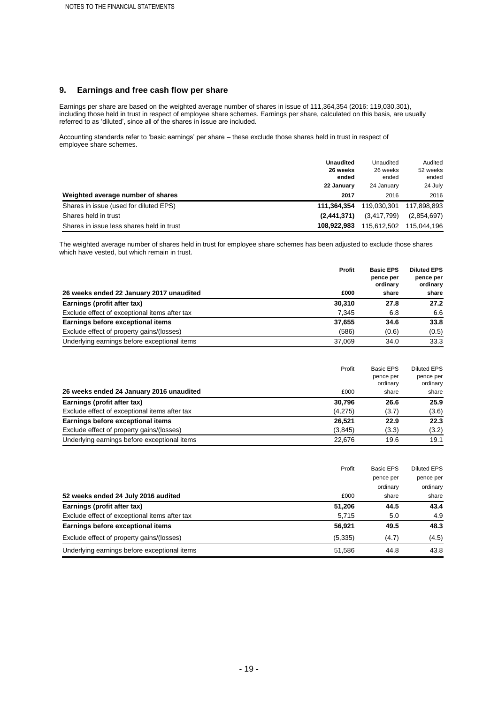## **9. Earnings and free cash flow per share**

Earnings per share are based on the weighted average number of shares in issue of 111,364,354 (2016: 119,030,301), including those held in trust in respect of employee share schemes. Earnings per share, calculated on this basis, are usually referred to as 'diluted', since all of the shares in issue are included.

Accounting standards refer to 'basic earnings' per share – these exclude those shares held in trust in respect of employee share schemes.

|                                           | <b>Unaudited</b><br>26 weeks<br>ended | Unaudited<br>26 weeks<br>ended | Audited<br>52 weeks<br>ended |
|-------------------------------------------|---------------------------------------|--------------------------------|------------------------------|
|                                           | 22 January                            | 24 January                     | 24 July                      |
| Weighted average number of shares         | 2017                                  | 2016                           | 2016                         |
| Shares in issue (used for diluted EPS)    | 111.364.354                           | 119,030,301                    | 117.898.893                  |
| Shares held in trust                      | (2.441.371)                           | (3.417.799)                    | (2,854,697)                  |
| Shares in issue less shares held in trust | 108.922.983                           | 115.612.502                    | 115.044.196                  |

The weighted average number of shares held in trust for employee share schemes has been adjusted to exclude those shares which have vested, but which remain in trust.

|                                               | Profit | <b>Basic EPS</b><br>pence per | <b>Diluted EPS</b><br>pence per |
|-----------------------------------------------|--------|-------------------------------|---------------------------------|
|                                               |        | ordinary                      | ordinary                        |
| 26 weeks ended 22 January 2017 unaudited      | £000   | share                         | share                           |
| Earnings (profit after tax)                   | 30.310 | 27.8                          | 27.2                            |
| Exclude effect of exceptional items after tax | 7.345  | 6.8                           | 6.6                             |
| Earnings before exceptional items             | 37.655 | 34.6                          | 33.8                            |
| Exclude effect of property gains/(losses)     | (586)  | (0.6)                         | (0.5)                           |
| Underlying earnings before exceptional items  | 37.069 | 34.0                          | 33.3                            |

|                                               | Profit  | Basic EPS<br>pence per<br>ordinary | Diluted EPS<br>pence per<br>ordinary |
|-----------------------------------------------|---------|------------------------------------|--------------------------------------|
| 26 weeks ended 24 January 2016 unaudited      | £000    | share                              | share                                |
| Earnings (profit after tax)                   | 30.796  | 26.6                               | 25.9                                 |
| Exclude effect of exceptional items after tax | (4,275) | (3.7)                              | (3.6)                                |
| Earnings before exceptional items             | 26.521  | 22.9                               | 22.3                                 |
| Exclude effect of property gains/(losses)     | (3,845) | (3.3)                              | (3.2)                                |
| Underlying earnings before exceptional items  | 22.676  | 19.6                               | 19.1                                 |

|                                               | Profit   | Basic EPS | Diluted EPS |
|-----------------------------------------------|----------|-----------|-------------|
|                                               |          | pence per | pence per   |
|                                               |          | ordinary  | ordinary    |
| 52 weeks ended 24 July 2016 audited           | £000     | share     | share       |
| Earnings (profit after tax)                   | 51,206   | 44.5      | 43.4        |
| Exclude effect of exceptional items after tax | 5,715    | 5.0       | 4.9         |
| Earnings before exceptional items             | 56.921   | 49.5      | 48.3        |
| Exclude effect of property gains/(losses)     | (5, 335) | (4.7)     | (4.5)       |
| Underlying earnings before exceptional items  | 51.586   | 44.8      | 43.8        |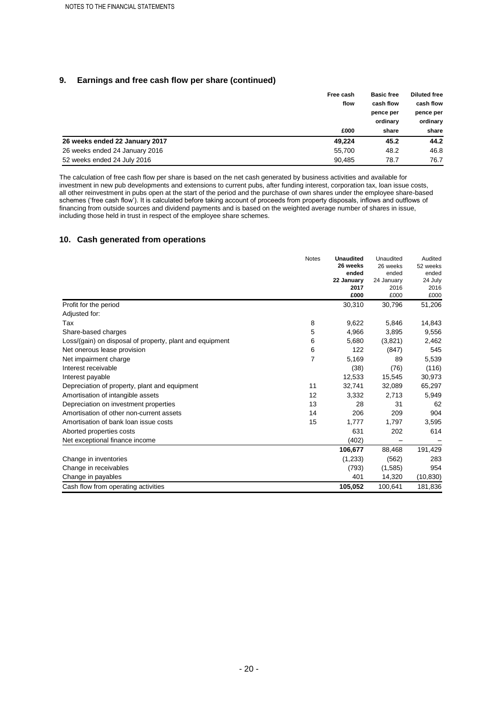## **9. Earnings and free cash flow per share (continued)**

|                                | Free cash | <b>Basic free</b> | <b>Diluted free</b> |
|--------------------------------|-----------|-------------------|---------------------|
|                                | flow      | cash flow         | cash flow           |
|                                |           | pence per         | pence per           |
|                                |           | ordinary          | ordinary            |
|                                | £000      | share             | share               |
| 26 weeks ended 22 January 2017 | 49.224    | 45.2              | 44.2                |
| 26 weeks ended 24 January 2016 | 55.700    | 48.2              | 46.8                |
| 52 weeks ended 24 July 2016    | 90,485    | 78.7              | 76.7                |

The calculation of free cash flow per share is based on the net cash generated by business activities and available for investment in new pub developments and extensions to current pubs, after funding interest, corporation tax, loan issue costs, all other reinvestment in pubs open at the start of the period and the purchase of own shares under the employee share-based schemes ('free cash flow'). It is calculated before taking account of proceeds from property disposals, inflows and outflows of financing from outside sources and dividend payments and is based on the weighted average number of shares in issue, including those held in trust in respect of the employee share schemes.

## **10. Cash generated from operations**

|                                                          | <b>Notes</b> | <b>Unaudited</b> | Unaudited  | Audited   |
|----------------------------------------------------------|--------------|------------------|------------|-----------|
|                                                          |              | 26 weeks         | 26 weeks   | 52 weeks  |
|                                                          |              | ended            | ended      | ended     |
|                                                          |              | 22 January       | 24 January | 24 July   |
|                                                          |              | 2017             | 2016       | 2016      |
|                                                          |              | £000             | £000       | £000      |
| Profit for the period                                    |              | 30,310           | 30,796     | 51,206    |
| Adjusted for:                                            |              |                  |            |           |
| Tax                                                      | 8            | 9,622            | 5,846      | 14,843    |
| Share-based charges                                      | 5            | 4,966            | 3,895      | 9,556     |
| Loss/(gain) on disposal of property, plant and equipment | 6            | 5,680            | (3,821)    | 2,462     |
| Net onerous lease provision                              | 6            | 122              | (847)      | 545       |
| Net impairment charge                                    | 7            | 5,169            | 89         | 5,539     |
| Interest receivable                                      |              | (38)             | (76)       | (116)     |
| Interest payable                                         |              | 12,533           | 15,545     | 30,973    |
| Depreciation of property, plant and equipment            | 11           | 32,741           | 32,089     | 65,297    |
| Amortisation of intangible assets                        | 12           | 3,332            | 2,713      | 5,949     |
| Depreciation on investment properties                    | 13           | 28               | 31         | 62        |
| Amortisation of other non-current assets                 | 14           | 206              | 209        | 904       |
| Amortisation of bank loan issue costs                    | 15           | 1,777            | 1,797      | 3,595     |
| Aborted properties costs                                 |              | 631              | 202        | 614       |
| Net exceptional finance income                           |              | (402)            |            |           |
|                                                          |              | 106,677          | 88,468     | 191,429   |
| Change in inventories                                    |              | (1,233)          | (562)      | 283       |
| Change in receivables                                    |              | (793)            | (1,585)    | 954       |
| Change in payables                                       |              | 401              | 14,320     | (10, 830) |
| Cash flow from operating activities                      |              | 105,052          | 100,641    | 181,836   |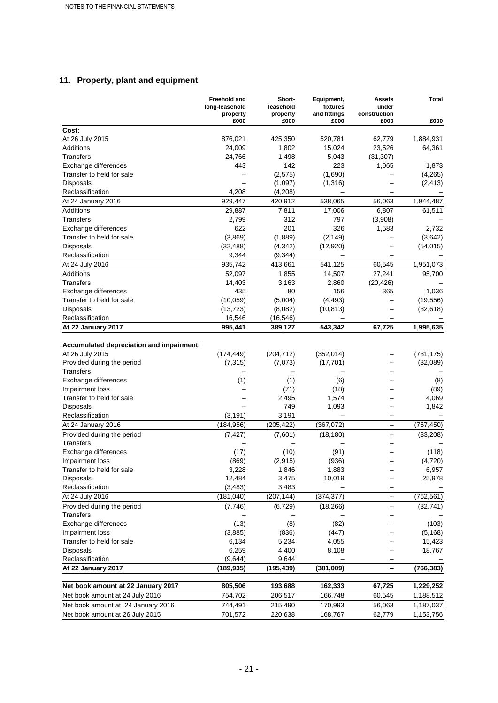## **11. Property, plant and equipment**

|                                          | <b>Freehold and</b><br>long-leasehold<br>property<br>£000 | Short-<br>leasehold<br>property<br>£000 | Equipment,<br>fixtures<br>and fittings<br>£000 | Assets<br>under<br>construction<br>£000 | <b>Total</b><br>£000 |
|------------------------------------------|-----------------------------------------------------------|-----------------------------------------|------------------------------------------------|-----------------------------------------|----------------------|
| Cost:                                    |                                                           |                                         |                                                |                                         |                      |
| At 26 July 2015                          | 876,021                                                   | 425,350                                 | 520,781                                        | 62,779                                  | 1,884,931            |
| Additions                                | 24,009                                                    | 1,802                                   | 15,024                                         | 23,526                                  | 64,361               |
| Transfers                                | 24,766                                                    | 1,498                                   | 5,043                                          | (31, 307)                               |                      |
| Exchange differences                     | 443                                                       | 142                                     | 223                                            | 1,065                                   | 1,873                |
| Transfer to held for sale                |                                                           | (2,575)                                 | (1,690)                                        |                                         | (4,265)              |
| <b>Disposals</b>                         |                                                           | (1,097)                                 | (1,316)                                        |                                         | (2, 413)             |
| Reclassification                         | 4,208                                                     | (4,208)                                 |                                                |                                         |                      |
| At 24 January 2016                       | 929,447                                                   | 420,912                                 | 538,065                                        | 56,063                                  | 1,944,487            |
| Additions                                | 29,887                                                    | 7,811                                   | 17,006                                         | 6,807                                   | 61,511               |
| Transfers                                | 2,799                                                     | 312                                     | 797                                            | (3,908)                                 |                      |
| Exchange differences                     | 622                                                       | 201                                     | 326                                            | 1,583                                   | 2,732                |
| Transfer to held for sale                | (3,869)                                                   | (1,889)                                 | (2, 149)                                       |                                         | (3,642)              |
| <b>Disposals</b>                         | (32, 488)                                                 | (4, 342)                                | (12,920)                                       |                                         | (54, 015)            |
| Reclassification                         | 9,344                                                     | (9, 344)                                |                                                | -                                       |                      |
| At 24 July 2016                          | 935,742                                                   | 413,661                                 | 541,125                                        | 60,545                                  | 1,951,073            |
| Additions                                | 52,097                                                    | 1,855                                   | 14,507                                         | 27,241                                  | 95,700               |
| Transfers                                | 14,403                                                    | 3,163                                   | 2,860                                          | (20, 426)                               |                      |
| Exchange differences                     | 435                                                       | 80                                      | 156                                            | 365                                     | 1,036                |
| Transfer to held for sale                | (10,059)                                                  | (5,004)                                 | (4, 493)                                       |                                         | (19, 556)            |
| <b>Disposals</b>                         | (13, 723)                                                 | (8,082)                                 | (10, 813)                                      |                                         | (32, 618)            |
| Reclassification                         | 16,546                                                    | (16, 546)                               |                                                |                                         |                      |
| At 22 January 2017                       | 995,441                                                   | 389,127                                 | 543,342                                        | 67,725                                  | 1,995,635            |
| Accumulated depreciation and impairment: |                                                           |                                         |                                                |                                         |                      |
| At 26 July 2015                          | (174, 449)                                                | (204, 712)                              | (352, 014)                                     |                                         | (731, 175)           |
| Provided during the period               | (7, 315)                                                  | (7,073)                                 | (17, 701)                                      |                                         | (32,089)             |
| Transfers                                |                                                           |                                         |                                                |                                         |                      |
| Exchange differences                     | (1)                                                       | (1)                                     | (6)                                            |                                         | (8)                  |
| Impairment loss                          |                                                           | (71)                                    | (18)                                           |                                         | (89)                 |
| Transfer to held for sale                |                                                           | 2,495                                   | 1,574                                          |                                         | 4,069                |
| <b>Disposals</b>                         |                                                           | 749                                     | 1,093                                          |                                         | 1,842                |
| Reclassification                         | (3, 191)                                                  | 3,191                                   |                                                |                                         |                      |
| At 24 January 2016                       | (184, 956)                                                | (205, 422)                              | (367,072)                                      | $\qquad \qquad -$                       | (757, 450)           |
| Provided during the period<br>Transfers  | (7, 427)                                                  | (7,601)                                 | (18, 180)                                      | —                                       | (33, 208)            |
| Exchange differences                     | (17)                                                      | (10)                                    | (91)                                           |                                         | (118)                |
| Impairment loss                          | (869)                                                     | (2, 915)                                | (936)                                          |                                         | (4,720)              |
| Transfer to held for sale                | 3,228                                                     | 1,846                                   | 1,883                                          |                                         | 6,957                |
| <b>Disposals</b>                         | 12,484                                                    | 3,475                                   | 10,019                                         |                                         | 25,978               |
| Reclassification                         | (3, 483)                                                  | 3,483                                   |                                                |                                         |                      |
| At 24 July 2016                          | (181, 040)                                                | (207, 144)                              | (374, 377)                                     | <sup>-</sup>                            | (762, 561)           |
| Provided during the period               | (7, 746)                                                  | (6, 729)                                | (18, 266)                                      | —                                       | (32, 741)            |
| Transfers                                |                                                           |                                         |                                                |                                         |                      |
| Exchange differences                     | (13)                                                      | (8)                                     | (82)                                           |                                         | (103)                |
| Impairment loss                          | (3,885)                                                   | (836)                                   | (447)                                          |                                         | (5, 168)             |
| Transfer to held for sale                | 6,134                                                     | 5,234                                   | 4,055                                          |                                         | 15,423               |
| <b>Disposals</b>                         | 6,259                                                     | 4,400                                   | 8,108                                          |                                         | 18,767               |
| Reclassification                         | (9,644)                                                   | 9,644                                   |                                                |                                         |                      |
| At 22 January 2017                       | (189, 935)                                                | (195, 439)                              | (381,009)                                      | -                                       | (766, 383)           |
| Net book amount at 22 January 2017       | 805,506                                                   | 193,688                                 | 162,333                                        | 67,725                                  | 1,229,252            |
| Net book amount at 24 July 2016          | 754,702                                                   | 206,517                                 | 166,748                                        | 60,545                                  | 1,188,512            |
| Net book amount at 24 January 2016       | 744,491                                                   | 215,490                                 | 170,993                                        | 56,063                                  | 1,187,037            |
| Net book amount at 26 July 2015          | 701,572                                                   | 220,638                                 | 168,767                                        | 62,779                                  | 1,153,756            |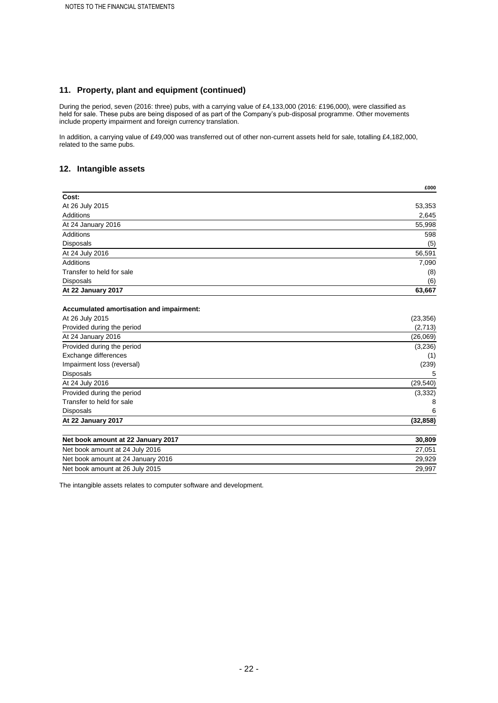## **11. Property, plant and equipment (continued)**

During the period, seven (2016: three) pubs, with a carrying value of £4,133,000 (2016: £196,000), were classified as held for sale. These pubs are being disposed of as part of the Company's pub-disposal programme. Other movements include property impairment and foreign currency translation.

In addition, a carrying value of £49,000 was transferred out of other non-current assets held for sale, totalling £4,182,000, related to the same pubs.

## **12. Intangible assets**

|                                          | £000      |
|------------------------------------------|-----------|
| Cost:                                    |           |
| At 26 July 2015                          | 53,353    |
| Additions                                | 2,645     |
| At 24 January 2016                       | 55,998    |
| Additions                                | 598       |
| <b>Disposals</b>                         | (5)       |
| At 24 July 2016                          | 56,591    |
| <b>Additions</b>                         | 7,090     |
| Transfer to held for sale                | (8)       |
| <b>Disposals</b>                         | (6)       |
| At 22 January 2017                       | 63,667    |
| Accumulated amortisation and impairment: |           |
| At 26 July 2015                          | (23, 356) |
| Provided during the period               | (2,713)   |
| At 24 January 2016                       | (26,069)  |
| Provided during the period               | (3,236)   |
| Exchange differences                     | (1)       |
| Impairment loss (reversal)               | (239)     |
| <b>Disposals</b>                         | 5         |
| At 24 July 2016                          | (29, 540) |
| Provided during the period               | (3,332)   |
| Transfer to held for sale                | 8         |
| <b>Disposals</b>                         | 6         |
| At 22 January 2017                       | (32, 858) |
| Net book amount at 22 January 2017       | 30,809    |
| Net book amount at 24 July 2016          | 27,051    |
| Net book amount at 24 January 2016       | 29,929    |

Net book amount at 26 July 2015 29,997

The intangible assets relates to computer software and development.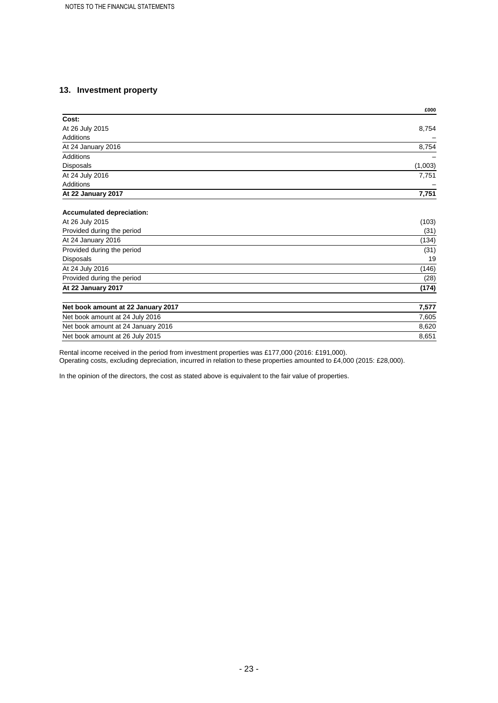## **13. Investment property**

|                                    | £000    |
|------------------------------------|---------|
| Cost:                              |         |
| At 26 July 2015                    | 8,754   |
| Additions                          |         |
| At 24 January 2016                 | 8,754   |
| <b>Additions</b>                   |         |
| <b>Disposals</b>                   | (1,003) |
| At 24 July 2016                    | 7,751   |
| <b>Additions</b>                   |         |
| At 22 January 2017                 | 7,751   |
| <b>Accumulated depreciation:</b>   |         |
| At 26 July 2015                    | (103)   |
| Provided during the period         | (31)    |
| At 24 January 2016                 | (134)   |
| Provided during the period         | (31)    |
| <b>Disposals</b>                   | 19      |
| At 24 July 2016                    | (146)   |
| Provided during the period         | (28)    |
| At 22 January 2017                 | (174)   |
| Net book amount at 22 January 2017 | 7,577   |
| Net book amount at 24 July 2016    | 7,605   |

Net book amount at 24 January 2016 8,620 Net book amount at 26 July 2015

Rental income received in the period from investment properties was £177,000 (2016: £191,000). Operating costs, excluding depreciation, incurred in relation to these properties amounted to £4,000 (2015: £28,000).

In the opinion of the directors, the cost as stated above is equivalent to the fair value of properties.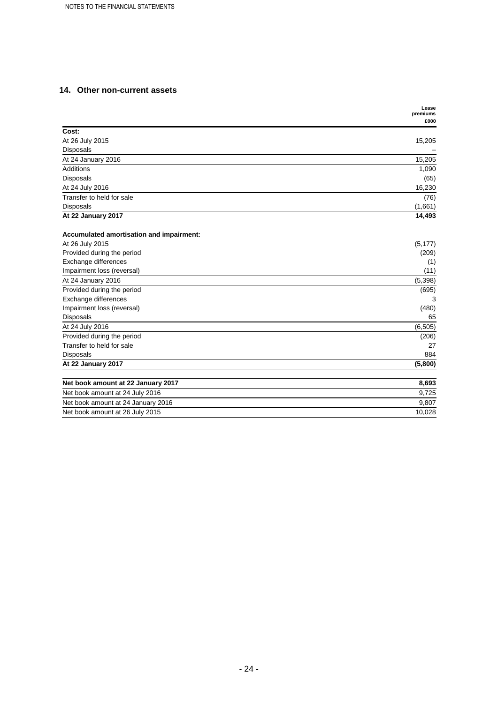## **14. Other non-current assets**

| At 26 July 2015<br>15,205<br><b>Disposals</b><br>At 24 January 2016<br>15,205<br>1,090<br><b>Disposals</b><br>(65)<br>At 24 July 2016<br>16,230<br>Transfer to held for sale<br>(76)<br>(1,661)<br><b>Disposals</b><br>At 22 January 2017<br>14,493<br>Accumulated amortisation and impairment:<br>At 26 July 2015<br>(5, 177)<br>Provided during the period<br>(209)<br>Exchange differences<br>(1)<br>Impairment loss (reversal)<br>(11)<br>At 24 January 2016<br>(5, 398)<br>Provided during the period<br>(695)<br>Exchange differences<br>3<br>Impairment loss (reversal)<br>(480)<br><b>Disposals</b><br>65<br>(6, 505)<br>Provided during the period<br>(206)<br>Transfer to held for sale<br>27<br>884<br>Disposals<br>(5,800)<br>At 22 January 2017<br>Net book amount at 22 January 2017<br>8,693<br>Net book amount at 24 July 2016<br>9,725<br>Net book amount at 24 January 2016<br>9,807 |                                 | Lease<br>premiums<br>£000 |
|--------------------------------------------------------------------------------------------------------------------------------------------------------------------------------------------------------------------------------------------------------------------------------------------------------------------------------------------------------------------------------------------------------------------------------------------------------------------------------------------------------------------------------------------------------------------------------------------------------------------------------------------------------------------------------------------------------------------------------------------------------------------------------------------------------------------------------------------------------------------------------------------------------|---------------------------------|---------------------------|
|                                                                                                                                                                                                                                                                                                                                                                                                                                                                                                                                                                                                                                                                                                                                                                                                                                                                                                        | Cost:                           |                           |
|                                                                                                                                                                                                                                                                                                                                                                                                                                                                                                                                                                                                                                                                                                                                                                                                                                                                                                        |                                 |                           |
|                                                                                                                                                                                                                                                                                                                                                                                                                                                                                                                                                                                                                                                                                                                                                                                                                                                                                                        |                                 |                           |
|                                                                                                                                                                                                                                                                                                                                                                                                                                                                                                                                                                                                                                                                                                                                                                                                                                                                                                        |                                 |                           |
|                                                                                                                                                                                                                                                                                                                                                                                                                                                                                                                                                                                                                                                                                                                                                                                                                                                                                                        | <b>Additions</b>                |                           |
|                                                                                                                                                                                                                                                                                                                                                                                                                                                                                                                                                                                                                                                                                                                                                                                                                                                                                                        |                                 |                           |
|                                                                                                                                                                                                                                                                                                                                                                                                                                                                                                                                                                                                                                                                                                                                                                                                                                                                                                        |                                 |                           |
|                                                                                                                                                                                                                                                                                                                                                                                                                                                                                                                                                                                                                                                                                                                                                                                                                                                                                                        |                                 |                           |
|                                                                                                                                                                                                                                                                                                                                                                                                                                                                                                                                                                                                                                                                                                                                                                                                                                                                                                        |                                 |                           |
|                                                                                                                                                                                                                                                                                                                                                                                                                                                                                                                                                                                                                                                                                                                                                                                                                                                                                                        |                                 |                           |
|                                                                                                                                                                                                                                                                                                                                                                                                                                                                                                                                                                                                                                                                                                                                                                                                                                                                                                        |                                 |                           |
|                                                                                                                                                                                                                                                                                                                                                                                                                                                                                                                                                                                                                                                                                                                                                                                                                                                                                                        |                                 |                           |
|                                                                                                                                                                                                                                                                                                                                                                                                                                                                                                                                                                                                                                                                                                                                                                                                                                                                                                        |                                 |                           |
|                                                                                                                                                                                                                                                                                                                                                                                                                                                                                                                                                                                                                                                                                                                                                                                                                                                                                                        |                                 |                           |
|                                                                                                                                                                                                                                                                                                                                                                                                                                                                                                                                                                                                                                                                                                                                                                                                                                                                                                        |                                 |                           |
|                                                                                                                                                                                                                                                                                                                                                                                                                                                                                                                                                                                                                                                                                                                                                                                                                                                                                                        |                                 |                           |
|                                                                                                                                                                                                                                                                                                                                                                                                                                                                                                                                                                                                                                                                                                                                                                                                                                                                                                        |                                 |                           |
|                                                                                                                                                                                                                                                                                                                                                                                                                                                                                                                                                                                                                                                                                                                                                                                                                                                                                                        |                                 |                           |
|                                                                                                                                                                                                                                                                                                                                                                                                                                                                                                                                                                                                                                                                                                                                                                                                                                                                                                        |                                 |                           |
|                                                                                                                                                                                                                                                                                                                                                                                                                                                                                                                                                                                                                                                                                                                                                                                                                                                                                                        |                                 |                           |
|                                                                                                                                                                                                                                                                                                                                                                                                                                                                                                                                                                                                                                                                                                                                                                                                                                                                                                        | At 24 July 2016                 |                           |
|                                                                                                                                                                                                                                                                                                                                                                                                                                                                                                                                                                                                                                                                                                                                                                                                                                                                                                        |                                 |                           |
|                                                                                                                                                                                                                                                                                                                                                                                                                                                                                                                                                                                                                                                                                                                                                                                                                                                                                                        |                                 |                           |
|                                                                                                                                                                                                                                                                                                                                                                                                                                                                                                                                                                                                                                                                                                                                                                                                                                                                                                        |                                 |                           |
|                                                                                                                                                                                                                                                                                                                                                                                                                                                                                                                                                                                                                                                                                                                                                                                                                                                                                                        |                                 |                           |
|                                                                                                                                                                                                                                                                                                                                                                                                                                                                                                                                                                                                                                                                                                                                                                                                                                                                                                        |                                 |                           |
|                                                                                                                                                                                                                                                                                                                                                                                                                                                                                                                                                                                                                                                                                                                                                                                                                                                                                                        |                                 |                           |
|                                                                                                                                                                                                                                                                                                                                                                                                                                                                                                                                                                                                                                                                                                                                                                                                                                                                                                        |                                 |                           |
|                                                                                                                                                                                                                                                                                                                                                                                                                                                                                                                                                                                                                                                                                                                                                                                                                                                                                                        | Net book amount at 26 July 2015 | 10,028                    |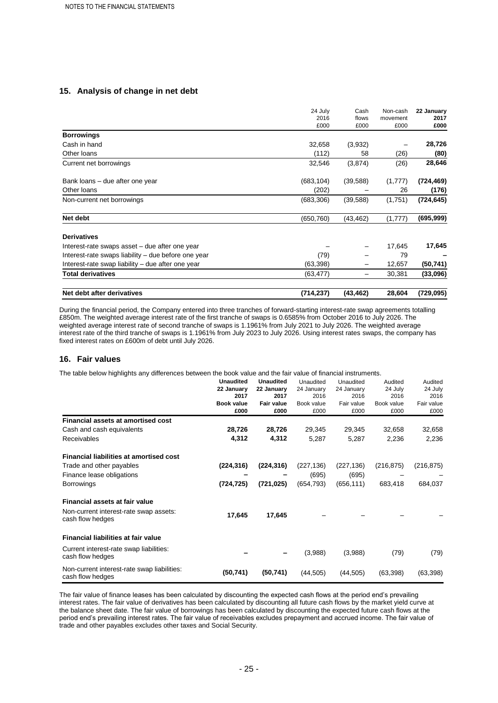## **15. Analysis of change in net debt**

|                                                     | 24 July    | Cash      | Non-cash | 22 January |
|-----------------------------------------------------|------------|-----------|----------|------------|
|                                                     | 2016       | flows     | movement | 2017       |
|                                                     | £000       | £000      | £000     | £000       |
| <b>Borrowings</b>                                   |            |           |          |            |
| Cash in hand                                        | 32,658     | (3,932)   |          | 28,726     |
| Other loans                                         | (112)      | 58        | (26)     | (80)       |
| Current net borrowings                              | 32,546     | (3,874)   | (26)     | 28,646     |
| Bank loans – due after one year                     | (683, 104) | (39, 588) | (1,777)  | (724, 469) |
| Other Ioans                                         | (202)      |           | 26       | (176)      |
| Non-current net borrowings                          | (683, 306) | (39, 588) | (1,751)  | (724, 645) |
| Net debt                                            | (650, 760) | (43, 462) | (1,777)  | (695, 999) |
| <b>Derivatives</b>                                  |            |           |          |            |
| Interest-rate swaps asset – due after one year      |            |           | 17,645   | 17,645     |
| Interest-rate swaps liability – due before one year | (79)       |           | 79       |            |
| Interest-rate swap liability – due after one year   | (63, 398)  |           | 12,657   | (50, 741)  |
| <b>Total derivatives</b>                            | (63, 477)  |           | 30,381   | (33,096)   |
| Net debt after derivatives                          | (714, 237) | (43, 462) | 28,604   | (729, 095) |

During the financial period, the Company entered into three tranches of forward-starting interest-rate swap agreements totalling £850m. The weighted average interest rate of the first tranche of swaps is 0.6585% from October 2016 to July 2026. The weighted average interest rate of second tranche of swaps is 1.1961% from July 2021 to July 2026. The weighted average interest rate of the third tranche of swaps is 1.1961% from July 2023 to July 2026. Using interest rates swaps, the company has fixed interest rates on £600m of debt until July 2026.

#### **16. Fair values**

The table below highlights any differences between the book value and the fair value of financial instruments.

|                                                                 | Unaudited<br>22 January<br>2017<br>Book value<br>£000 | <b>Unaudited</b><br>22 January<br>2017<br><b>Fair value</b><br>£000 | Unaudited<br>24 January<br>2016<br>Book value<br>£000 | Unaudited<br>24 January<br>2016<br>Fair value<br>£000 | Audited<br>24 July<br>2016<br>Book value<br>£000 | Audited<br>24 July<br>2016<br>Fair value<br>£000 |
|-----------------------------------------------------------------|-------------------------------------------------------|---------------------------------------------------------------------|-------------------------------------------------------|-------------------------------------------------------|--------------------------------------------------|--------------------------------------------------|
| <b>Financial assets at amortised cost</b>                       |                                                       |                                                                     |                                                       |                                                       |                                                  |                                                  |
| Cash and cash equivalents                                       | 28,726                                                | 28,726                                                              | 29,345                                                | 29,345                                                | 32,658                                           | 32,658                                           |
| <b>Receivables</b>                                              | 4,312                                                 | 4,312                                                               | 5,287                                                 | 5,287                                                 | 2,236                                            | 2,236                                            |
| <b>Financial liabilities at amortised cost</b>                  |                                                       |                                                                     |                                                       |                                                       |                                                  |                                                  |
| Trade and other payables                                        | (224,316)                                             | (224, 316)                                                          | (227, 136)                                            | (227,136)                                             | (216, 875)                                       | (216, 875)                                       |
| Finance lease obligations                                       |                                                       |                                                                     | (695)                                                 | (695)                                                 |                                                  |                                                  |
| Borrowings                                                      | (724,725)                                             | (721, 025)                                                          | (654, 793)                                            | (656, 111)                                            | 683,418                                          | 684,037                                          |
| Financial assets at fair value                                  |                                                       |                                                                     |                                                       |                                                       |                                                  |                                                  |
| Non-current interest-rate swap assets:<br>cash flow hedges      | 17,645                                                | 17,645                                                              |                                                       |                                                       |                                                  |                                                  |
| Financial liabilities at fair value                             |                                                       |                                                                     |                                                       |                                                       |                                                  |                                                  |
| Current interest-rate swap liabilities:<br>cash flow hedges     |                                                       |                                                                     | (3,988)                                               | (3,988)                                               | (79)                                             | (79)                                             |
| Non-current interest-rate swap liabilities:<br>cash flow hedges | (50, 741)                                             | (50, 741)                                                           | (44, 505)                                             | (44, 505)                                             | (63, 398)                                        | (63, 398)                                        |

The fair value of finance leases has been calculated by discounting the expected cash flows at the period end's prevailing interest rates. The fair value of derivatives has been calculated by discounting all future cash flows by the market yield curve at the balance sheet date. The fair value of borrowings has been calculated by discounting the expected future cash flows at the period end's prevailing interest rates. The fair value of receivables excludes prepayment and accrued income. The fair value of trade and other payables excludes other taxes and Social Security.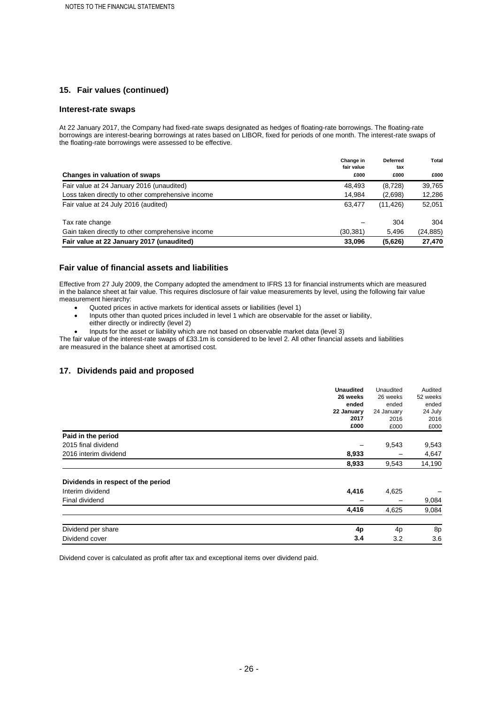## **15. Fair values (continued)**

#### **Interest-rate swaps**

At 22 January 2017, the Company had fixed-rate swaps designated as hedges of floating-rate borrowings. The floating-rate borrowings are interest-bearing borrowings at rates based on LIBOR, fixed for periods of one month. The interest-rate swaps of the floating-rate borrowings were assessed to be effective.

|                                                   | Change in<br>fair value | <b>Deferred</b><br>tax | Total     |
|---------------------------------------------------|-------------------------|------------------------|-----------|
| Changes in valuation of swaps                     | £000                    | £000                   | £000      |
| Fair value at 24 January 2016 (unaudited)         | 48.493                  | (8,728)                | 39.765    |
| Loss taken directly to other comprehensive income | 14,984                  | (2,698)                | 12,286    |
| Fair value at 24 July 2016 (audited)              | 63.477                  | (11, 426)              | 52,051    |
| Tax rate change                                   |                         | 304                    | 304       |
| Gain taken directly to other comprehensive income | (30,381)                | 5,496                  | (24, 885) |
| Fair value at 22 January 2017 (unaudited)         | 33,096                  | (5,626)                | 27,470    |

#### **Fair value of financial assets and liabilities**

Effective from 27 July 2009, the Company adopted the amendment to IFRS 13 for financial instruments which are measured in the balance sheet at fair value. This requires disclosure of fair value measurements by level, using the following fair value measurement hierarchy:

- Quoted prices in active markets for identical assets or liabilities (level 1)
- Inputs other than quoted prices included in level 1 which are observable for the asset or liability,
- either directly or indirectly (level 2)
- Inputs for the asset or liability which are not based on observable market data (level 3)

The fair value of the interest-rate swaps of £33.1m is considered to be level 2. All other financial assets and liabilities are measured in the balance sheet at amortised cost.

### **17. Dividends paid and proposed**

|                                    | <b>Unaudited</b><br>26 weeks<br>ended<br>22 January<br>2017<br>£000 | Unaudited<br>26 weeks<br>ended<br>24 January<br>2016<br>£000 | Audited<br>52 weeks<br>ended<br>24 July<br>2016<br>£000 |
|------------------------------------|---------------------------------------------------------------------|--------------------------------------------------------------|---------------------------------------------------------|
| Paid in the period                 |                                                                     |                                                              |                                                         |
| 2015 final dividend                |                                                                     | 9,543                                                        | 9,543                                                   |
| 2016 interim dividend              | 8,933                                                               | –                                                            | 4,647                                                   |
|                                    | 8,933                                                               | 9,543                                                        | 14,190                                                  |
| Dividends in respect of the period |                                                                     |                                                              |                                                         |
| Interim dividend                   | 4,416                                                               | 4,625                                                        |                                                         |
| Final dividend                     |                                                                     |                                                              | 9,084                                                   |
|                                    | 4,416                                                               | 4,625                                                        | 9,084                                                   |
| Dividend per share                 | 4p                                                                  | 4p                                                           | 8p                                                      |
| Dividend cover                     | 3.4                                                                 | 3.2                                                          | 3.6                                                     |

Dividend cover is calculated as profit after tax and exceptional items over dividend paid.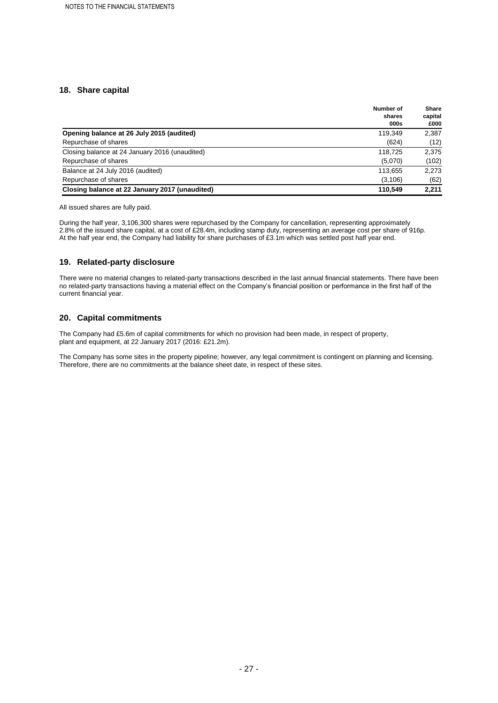## **18. Share capital**

|                                                | Number of<br>shares<br>000s | Share<br>capital<br>£000 |
|------------------------------------------------|-----------------------------|--------------------------|
| Opening balance at 26 July 2015 (audited)      | 119,349                     | 2,387                    |
| Repurchase of shares                           | (624)                       | (12)                     |
| Closing balance at 24 January 2016 (unaudited) | 118,725                     | 2.375                    |
| Repurchase of shares                           | (5,070)                     | (102)                    |
| Balance at 24 July 2016 (audited)              | 113,655                     | 2,273                    |
| Repurchase of shares                           | (3, 106)                    | (62)                     |
| Closing balance at 22 January 2017 (unaudited) | 110.549                     | 2.211                    |

All issued shares are fully paid.

During the half year, 3,106,300 shares were repurchased by the Company for cancellation, representing approximately 2.8% of the issued share capital, at a cost of £28.4m, including stamp duty, representing an average cost per share of 916p. At the half year end, the Company had liability for share purchases of £3.1m which was settled post half year end.

### **19. Related-party disclosure**

There were no material changes to related-party transactions described in the last annual financial statements. There have been no related-party transactions having a material effect on the Company's financial position or performance in the first half of the current financial year.

## **20. Capital commitments**

The Company had £5.6m of capital commitments for which no provision had been made, in respect of property, plant and equipment, at 22 January 2017 (2016: £21.2m).

The Company has some sites in the property pipeline; however, any legal commitment is contingent on planning and licensing. Therefore, there are no commitments at the balance sheet date, in respect of these sites.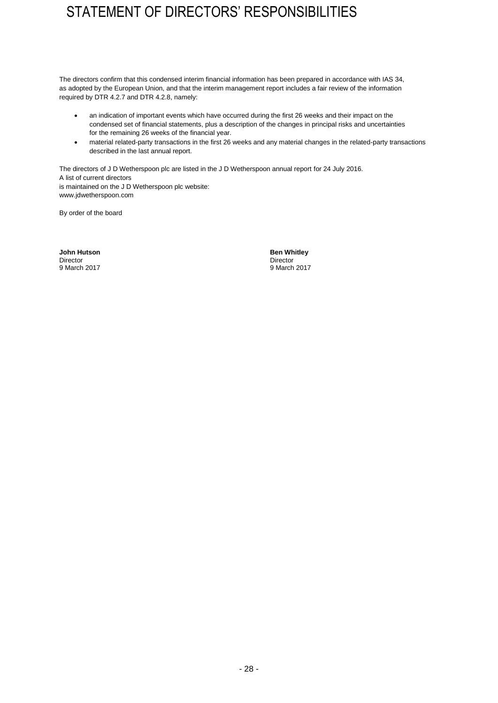## STATEMENT OF DIRECTORS' RESPONSIBILITIES

The directors confirm that this condensed interim financial information has been prepared in accordance with IAS 34, as adopted by the European Union, and that the interim management report includes a fair review of the information required by DTR 4.2.7 and DTR 4.2.8, namely:

- an indication of important events which have occurred during the first 26 weeks and their impact on the condensed set of financial statements, plus a description of the changes in principal risks and uncertainties for the remaining 26 weeks of the financial year.
- material related-party transactions in the first 26 weeks and any material changes in the related-party transactions described in the last annual report.

The directors of J D Wetherspoon plc are listed in the J D Wetherspoon annual report for 24 July 2016. A list of current directors is maintained on the J D Wetherspoon plc website: www.jdwetherspoon.com

By order of the board

**John Hutson Ben Whitley**<br> **Director**<br> **Director** Director<br>9 March 2017

9 March 2017 9 March 2017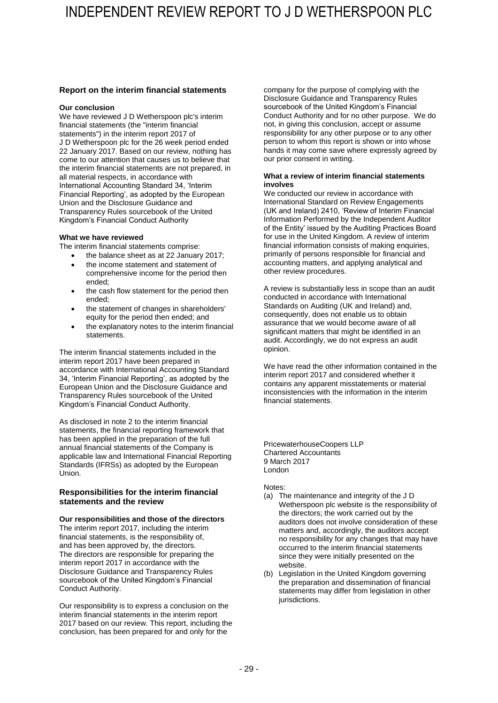## INDEPENDENT REVIEW REPORT TO J D WETHERSPOON PLC

### **Report on the interim financial statements**

#### **Our conclusion**

We have reviewed J D Wetherspoon plc's interim financial statements (the "interim financial statements") in the interim report 2017 of J D Wetherspoon plc for the 26 week period ended 22 January 2017. Based on our review, nothing has come to our attention that causes us to believe that the interim financial statements are not prepared, in all material respects, in accordance with International Accounting Standard 34, 'Interim Financial Reporting', as adopted by the European Union and the Disclosure Guidance and Transparency Rules sourcebook of the United Kingdom's Financial Conduct Authority

#### **What we have reviewed**

The interim financial statements comprise:

- the balance sheet as at 22 January 2017;
- the income statement and statement of comprehensive income for the period then ended;
- the cash flow statement for the period then ended;
- the statement of changes in shareholders' equity for the period then ended; and
- the explanatory notes to the interim financial statements.

The interim financial statements included in the interim report 2017 have been prepared in accordance with International Accounting Standard 34, 'Interim Financial Reporting', as adopted by the European Union and the Disclosure Guidance and Transparency Rules sourcebook of the United Kingdom's Financial Conduct Authority.

As disclosed in note 2 to the interim financial statements, the financial reporting framework that has been applied in the preparation of the full annual financial statements of the Company is applicable law and International Financial Reporting Standards (IFRSs) as adopted by the European Union.

### **Responsibilities for the interim financial statements and the review**

**Our responsibilities and those of the directors** The interim report 2017, including the interim financial statements, is the responsibility of, and has been approved by, the directors. The directors are responsible for preparing the interim report 2017 in accordance with the Disclosure Guidance and Transparency Rules sourcebook of the United Kingdom's Financial Conduct Authority.

Our responsibility is to express a conclusion on the interim financial statements in the interim report 2017 based on our review. This report, including the conclusion, has been prepared for and only for the

company for the purpose of complying with the Disclosure Guidance and Transparency Rules sourcebook of the United Kingdom's Financial Conduct Authority and for no other purpose. We do not, in giving this conclusion, accept or assume responsibility for any other purpose or to any other person to whom this report is shown or into whose hands it may come save where expressly agreed by our prior consent in writing.

#### **What a review of interim financial statements involves**

We conducted our review in accordance with International Standard on Review Engagements (UK and Ireland) 2410, 'Review of Interim Financial Information Performed by the Independent Auditor of the Entity' issued by the Auditing Practices Board for use in the United Kingdom. A review of interim financial information consists of making enquiries, primarily of persons responsible for financial and accounting matters, and applying analytical and other review procedures.

A review is substantially less in scope than an audit conducted in accordance with International Standards on Auditing (UK and Ireland) and, consequently, does not enable us to obtain assurance that we would become aware of all significant matters that might be identified in an audit. Accordingly, we do not express an audit opinion.

We have read the other information contained in the interim report 2017 and considered whether it contains any apparent misstatements or material inconsistencies with the information in the interim financial statements.

PricewaterhouseCoopers LLP Chartered Accountants 9 March 2017 London

#### Notes:

- (a) The maintenance and integrity of the J D Wetherspoon plc website is the responsibility of the directors; the work carried out by the auditors does not involve consideration of these matters and, accordingly, the auditors accept no responsibility for any changes that may have occurred to the interim financial statements since they were initially presented on the website.
- (b) Legislation in the United Kingdom governing the preparation and dissemination of financial statements may differ from legislation in other jurisdictions.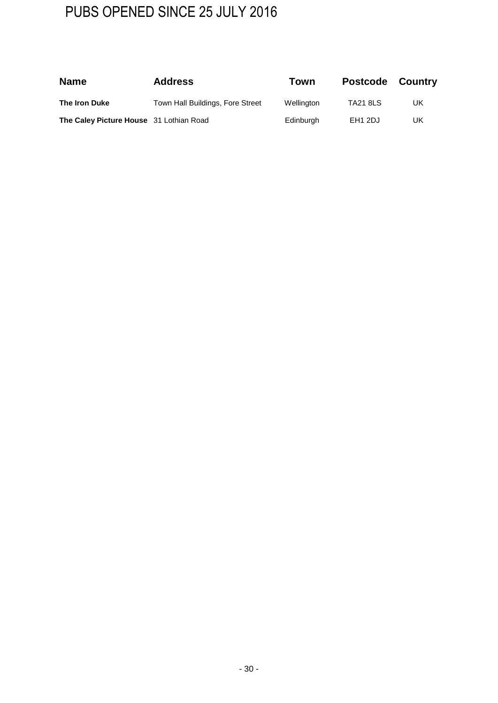## PUBS OPENED SINCE 25 JULY 2016

| <b>Name</b>                             | <b>Address</b>                   | Town       | <b>Postcode Country</b> |    |
|-----------------------------------------|----------------------------------|------------|-------------------------|----|
| The Iron Duke                           | Town Hall Buildings, Fore Street | Wellington | <b>TA21 8LS</b>         | UK |
| The Caley Picture House 31 Lothian Road |                                  | Edinburgh  | EH <sub>1</sub> 2DJ     | UK |